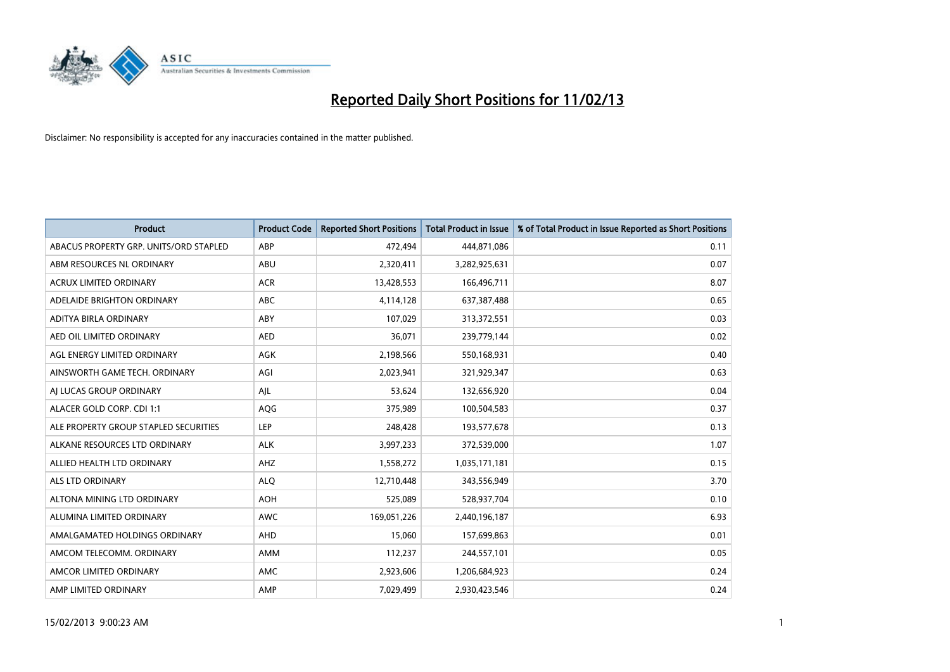

| <b>Product</b>                         | <b>Product Code</b> | <b>Reported Short Positions</b> | <b>Total Product in Issue</b> | % of Total Product in Issue Reported as Short Positions |
|----------------------------------------|---------------------|---------------------------------|-------------------------------|---------------------------------------------------------|
| ABACUS PROPERTY GRP. UNITS/ORD STAPLED | ABP                 | 472,494                         | 444,871,086                   | 0.11                                                    |
| ABM RESOURCES NL ORDINARY              | ABU                 | 2,320,411                       | 3,282,925,631                 | 0.07                                                    |
| <b>ACRUX LIMITED ORDINARY</b>          | <b>ACR</b>          | 13,428,553                      | 166,496,711                   | 8.07                                                    |
| ADELAIDE BRIGHTON ORDINARY             | <b>ABC</b>          | 4,114,128                       | 637,387,488                   | 0.65                                                    |
| ADITYA BIRLA ORDINARY                  | ABY                 | 107,029                         | 313,372,551                   | 0.03                                                    |
| AED OIL LIMITED ORDINARY               | <b>AED</b>          | 36,071                          | 239,779,144                   | 0.02                                                    |
| AGL ENERGY LIMITED ORDINARY            | AGK                 | 2,198,566                       | 550,168,931                   | 0.40                                                    |
| AINSWORTH GAME TECH. ORDINARY          | AGI                 | 2,023,941                       | 321,929,347                   | 0.63                                                    |
| AI LUCAS GROUP ORDINARY                | AJL                 | 53,624                          | 132,656,920                   | 0.04                                                    |
| ALACER GOLD CORP. CDI 1:1              | AQG                 | 375,989                         | 100,504,583                   | 0.37                                                    |
| ALE PROPERTY GROUP STAPLED SECURITIES  | <b>LEP</b>          | 248,428                         | 193,577,678                   | 0.13                                                    |
| ALKANE RESOURCES LTD ORDINARY          | <b>ALK</b>          | 3,997,233                       | 372,539,000                   | 1.07                                                    |
| ALLIED HEALTH LTD ORDINARY             | AHZ                 | 1,558,272                       | 1,035,171,181                 | 0.15                                                    |
| <b>ALS LTD ORDINARY</b>                | <b>ALO</b>          | 12,710,448                      | 343,556,949                   | 3.70                                                    |
| ALTONA MINING LTD ORDINARY             | <b>AOH</b>          | 525,089                         | 528,937,704                   | 0.10                                                    |
| ALUMINA LIMITED ORDINARY               | <b>AWC</b>          | 169,051,226                     | 2,440,196,187                 | 6.93                                                    |
| AMALGAMATED HOLDINGS ORDINARY          | AHD                 | 15,060                          | 157,699,863                   | 0.01                                                    |
| AMCOM TELECOMM, ORDINARY               | <b>AMM</b>          | 112,237                         | 244,557,101                   | 0.05                                                    |
| AMCOR LIMITED ORDINARY                 | AMC                 | 2,923,606                       | 1,206,684,923                 | 0.24                                                    |
| AMP LIMITED ORDINARY                   | AMP                 | 7,029,499                       | 2,930,423,546                 | 0.24                                                    |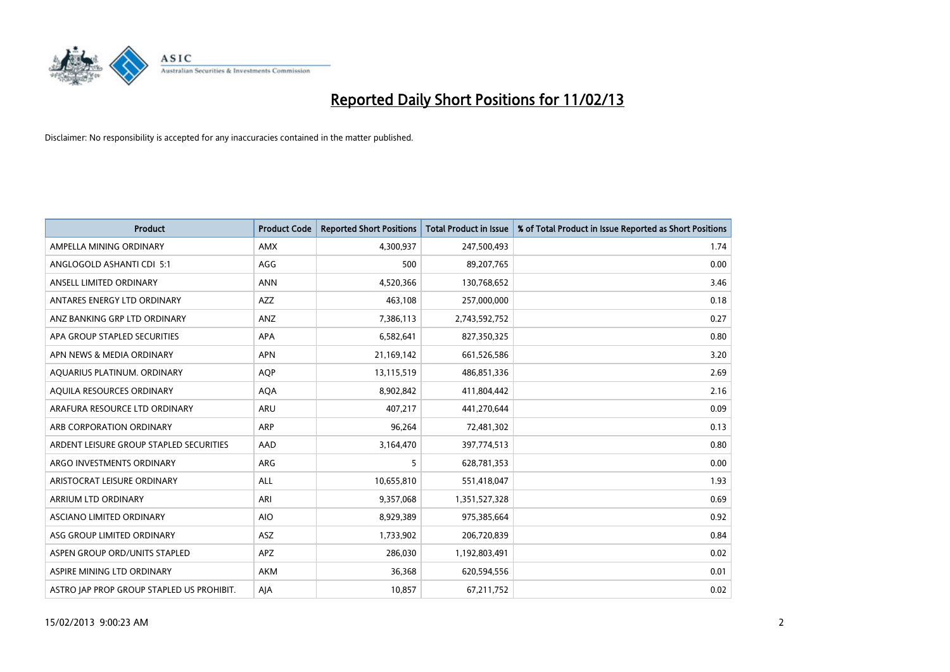

| <b>Product</b>                            | <b>Product Code</b> | <b>Reported Short Positions</b> | <b>Total Product in Issue</b> | % of Total Product in Issue Reported as Short Positions |
|-------------------------------------------|---------------------|---------------------------------|-------------------------------|---------------------------------------------------------|
| AMPELLA MINING ORDINARY                   | <b>AMX</b>          | 4,300,937                       | 247,500,493                   | 1.74                                                    |
| ANGLOGOLD ASHANTI CDI 5:1                 | AGG                 | 500                             | 89,207,765                    | 0.00                                                    |
| ANSELL LIMITED ORDINARY                   | <b>ANN</b>          | 4,520,366                       | 130,768,652                   | 3.46                                                    |
| ANTARES ENERGY LTD ORDINARY               | <b>AZZ</b>          | 463,108                         | 257,000,000                   | 0.18                                                    |
| ANZ BANKING GRP LTD ORDINARY              | ANZ                 | 7,386,113                       | 2,743,592,752                 | 0.27                                                    |
| APA GROUP STAPLED SECURITIES              | <b>APA</b>          | 6,582,641                       | 827,350,325                   | 0.80                                                    |
| APN NEWS & MEDIA ORDINARY                 | <b>APN</b>          | 21,169,142                      | 661,526,586                   | 3.20                                                    |
| AQUARIUS PLATINUM. ORDINARY               | <b>AOP</b>          | 13,115,519                      | 486,851,336                   | 2.69                                                    |
| AQUILA RESOURCES ORDINARY                 | <b>AQA</b>          | 8,902,842                       | 411,804,442                   | 2.16                                                    |
| ARAFURA RESOURCE LTD ORDINARY             | ARU                 | 407,217                         | 441,270,644                   | 0.09                                                    |
| ARB CORPORATION ORDINARY                  | ARP                 | 96,264                          | 72,481,302                    | 0.13                                                    |
| ARDENT LEISURE GROUP STAPLED SECURITIES   | AAD                 | 3,164,470                       | 397,774,513                   | 0.80                                                    |
| ARGO INVESTMENTS ORDINARY                 | ARG                 | 5                               | 628,781,353                   | 0.00                                                    |
| ARISTOCRAT LEISURE ORDINARY               | ALL                 | 10,655,810                      | 551,418,047                   | 1.93                                                    |
| ARRIUM LTD ORDINARY                       | ARI                 | 9,357,068                       | 1,351,527,328                 | 0.69                                                    |
| ASCIANO LIMITED ORDINARY                  | <b>AIO</b>          | 8,929,389                       | 975,385,664                   | 0.92                                                    |
| ASG GROUP LIMITED ORDINARY                | ASZ                 | 1,733,902                       | 206,720,839                   | 0.84                                                    |
| ASPEN GROUP ORD/UNITS STAPLED             | <b>APZ</b>          | 286,030                         | 1,192,803,491                 | 0.02                                                    |
| ASPIRE MINING LTD ORDINARY                | <b>AKM</b>          | 36,368                          | 620,594,556                   | 0.01                                                    |
| ASTRO JAP PROP GROUP STAPLED US PROHIBIT. | AJA                 | 10,857                          | 67,211,752                    | 0.02                                                    |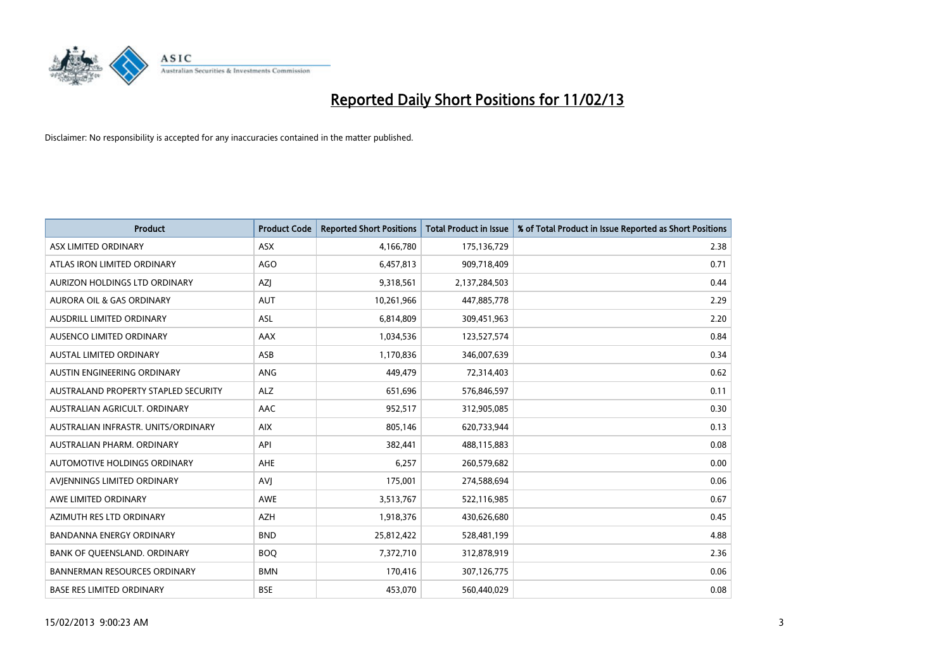

| <b>Product</b>                       | <b>Product Code</b> | <b>Reported Short Positions</b> | <b>Total Product in Issue</b> | % of Total Product in Issue Reported as Short Positions |
|--------------------------------------|---------------------|---------------------------------|-------------------------------|---------------------------------------------------------|
| ASX LIMITED ORDINARY                 | <b>ASX</b>          | 4,166,780                       | 175,136,729                   | 2.38                                                    |
| ATLAS IRON LIMITED ORDINARY          | <b>AGO</b>          | 6,457,813                       | 909,718,409                   | 0.71                                                    |
| AURIZON HOLDINGS LTD ORDINARY        | AZJ                 | 9,318,561                       | 2,137,284,503                 | 0.44                                                    |
| AURORA OIL & GAS ORDINARY            | <b>AUT</b>          | 10,261,966                      | 447,885,778                   | 2.29                                                    |
| <b>AUSDRILL LIMITED ORDINARY</b>     | ASL                 | 6,814,809                       | 309,451,963                   | 2.20                                                    |
| AUSENCO LIMITED ORDINARY             | <b>AAX</b>          | 1,034,536                       | 123,527,574                   | 0.84                                                    |
| <b>AUSTAL LIMITED ORDINARY</b>       | ASB                 | 1,170,836                       | 346,007,639                   | 0.34                                                    |
| AUSTIN ENGINEERING ORDINARY          | ANG                 | 449,479                         | 72,314,403                    | 0.62                                                    |
| AUSTRALAND PROPERTY STAPLED SECURITY | <b>ALZ</b>          | 651,696                         | 576,846,597                   | 0.11                                                    |
| AUSTRALIAN AGRICULT, ORDINARY        | AAC                 | 952,517                         | 312,905,085                   | 0.30                                                    |
| AUSTRALIAN INFRASTR. UNITS/ORDINARY  | <b>AIX</b>          | 805,146                         | 620,733,944                   | 0.13                                                    |
| AUSTRALIAN PHARM, ORDINARY           | API                 | 382,441                         | 488,115,883                   | 0.08                                                    |
| AUTOMOTIVE HOLDINGS ORDINARY         | AHE                 | 6,257                           | 260,579,682                   | 0.00                                                    |
| AVIENNINGS LIMITED ORDINARY          | <b>AVI</b>          | 175,001                         | 274,588,694                   | 0.06                                                    |
| AWE LIMITED ORDINARY                 | <b>AWE</b>          | 3,513,767                       | 522,116,985                   | 0.67                                                    |
| AZIMUTH RES LTD ORDINARY             | <b>AZH</b>          | 1,918,376                       | 430,626,680                   | 0.45                                                    |
| BANDANNA ENERGY ORDINARY             | <b>BND</b>          | 25,812,422                      | 528,481,199                   | 4.88                                                    |
| BANK OF QUEENSLAND. ORDINARY         | <b>BOQ</b>          | 7,372,710                       | 312,878,919                   | 2.36                                                    |
| <b>BANNERMAN RESOURCES ORDINARY</b>  | <b>BMN</b>          | 170,416                         | 307,126,775                   | 0.06                                                    |
| <b>BASE RES LIMITED ORDINARY</b>     | <b>BSE</b>          | 453,070                         | 560,440,029                   | 0.08                                                    |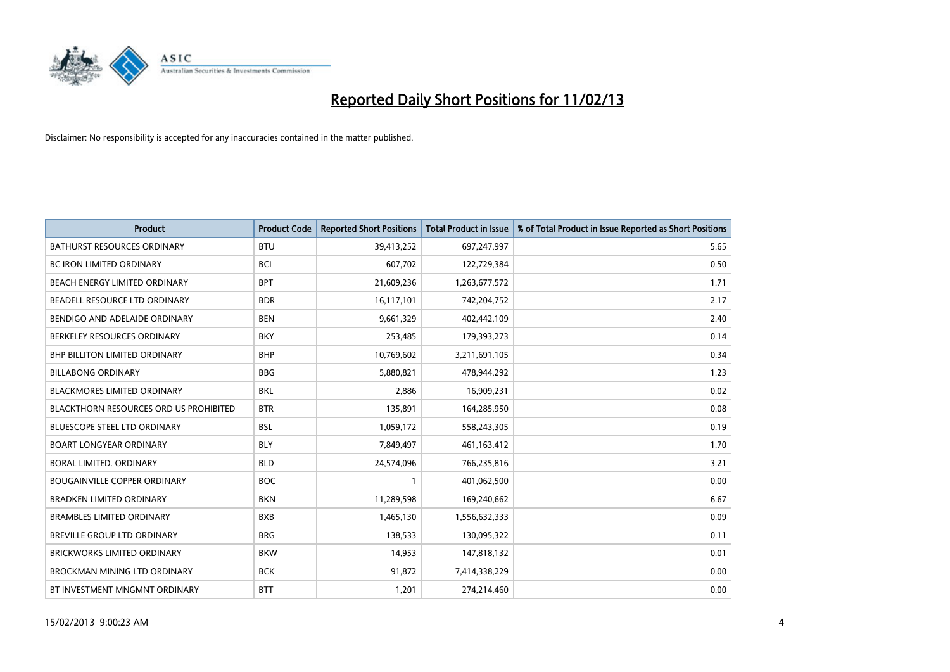

| <b>Product</b>                                | <b>Product Code</b> | <b>Reported Short Positions</b> | <b>Total Product in Issue</b> | % of Total Product in Issue Reported as Short Positions |
|-----------------------------------------------|---------------------|---------------------------------|-------------------------------|---------------------------------------------------------|
| <b>BATHURST RESOURCES ORDINARY</b>            | <b>BTU</b>          | 39,413,252                      | 697,247,997                   | 5.65                                                    |
| BC IRON LIMITED ORDINARY                      | <b>BCI</b>          | 607,702                         | 122,729,384                   | 0.50                                                    |
| BEACH ENERGY LIMITED ORDINARY                 | <b>BPT</b>          | 21,609,236                      | 1,263,677,572                 | 1.71                                                    |
| BEADELL RESOURCE LTD ORDINARY                 | <b>BDR</b>          | 16,117,101                      | 742,204,752                   | 2.17                                                    |
| BENDIGO AND ADELAIDE ORDINARY                 | <b>BEN</b>          | 9,661,329                       | 402,442,109                   | 2.40                                                    |
| BERKELEY RESOURCES ORDINARY                   | <b>BKY</b>          | 253,485                         | 179,393,273                   | 0.14                                                    |
| <b>BHP BILLITON LIMITED ORDINARY</b>          | <b>BHP</b>          | 10,769,602                      | 3,211,691,105                 | 0.34                                                    |
| <b>BILLABONG ORDINARY</b>                     | <b>BBG</b>          | 5,880,821                       | 478,944,292                   | 1.23                                                    |
| <b>BLACKMORES LIMITED ORDINARY</b>            | <b>BKL</b>          | 2,886                           | 16,909,231                    | 0.02                                                    |
| <b>BLACKTHORN RESOURCES ORD US PROHIBITED</b> | <b>BTR</b>          | 135,891                         | 164,285,950                   | 0.08                                                    |
| BLUESCOPE STEEL LTD ORDINARY                  | <b>BSL</b>          | 1,059,172                       | 558,243,305                   | 0.19                                                    |
| <b>BOART LONGYEAR ORDINARY</b>                | <b>BLY</b>          | 7,849,497                       | 461, 163, 412                 | 1.70                                                    |
| BORAL LIMITED, ORDINARY                       | <b>BLD</b>          | 24,574,096                      | 766,235,816                   | 3.21                                                    |
| <b>BOUGAINVILLE COPPER ORDINARY</b>           | <b>BOC</b>          | $\mathbf{1}$                    | 401,062,500                   | 0.00                                                    |
| <b>BRADKEN LIMITED ORDINARY</b>               | <b>BKN</b>          | 11,289,598                      | 169,240,662                   | 6.67                                                    |
| <b>BRAMBLES LIMITED ORDINARY</b>              | <b>BXB</b>          | 1,465,130                       | 1,556,632,333                 | 0.09                                                    |
| BREVILLE GROUP LTD ORDINARY                   | <b>BRG</b>          | 138,533                         | 130,095,322                   | 0.11                                                    |
| <b>BRICKWORKS LIMITED ORDINARY</b>            | <b>BKW</b>          | 14,953                          | 147,818,132                   | 0.01                                                    |
| <b>BROCKMAN MINING LTD ORDINARY</b>           | <b>BCK</b>          | 91,872                          | 7,414,338,229                 | 0.00                                                    |
| BT INVESTMENT MNGMNT ORDINARY                 | <b>BTT</b>          | 1,201                           | 274,214,460                   | 0.00                                                    |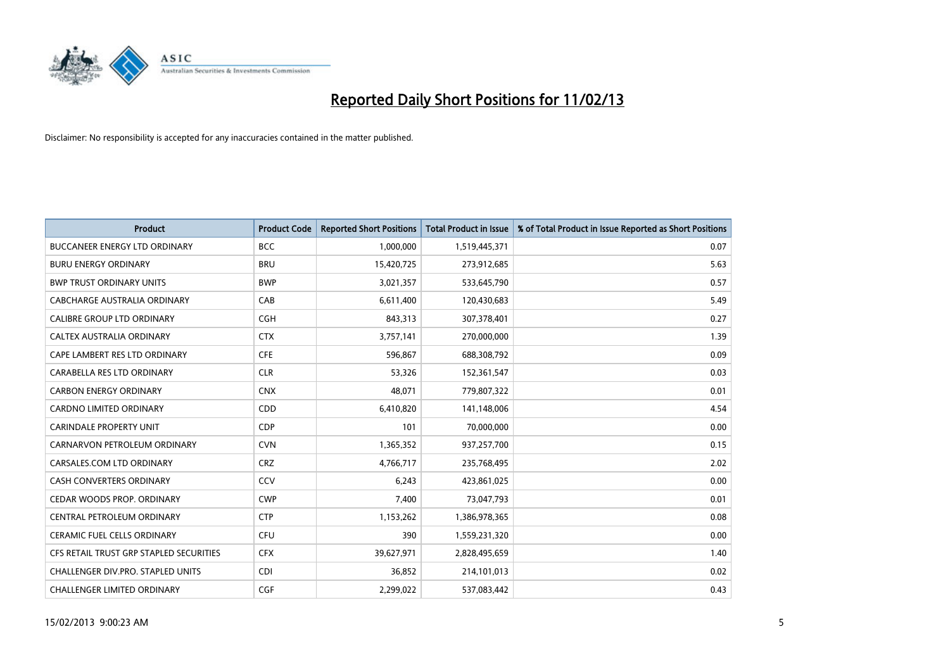

| <b>Product</b>                          | <b>Product Code</b> | <b>Reported Short Positions</b> | <b>Total Product in Issue</b> | % of Total Product in Issue Reported as Short Positions |
|-----------------------------------------|---------------------|---------------------------------|-------------------------------|---------------------------------------------------------|
| <b>BUCCANEER ENERGY LTD ORDINARY</b>    | <b>BCC</b>          | 1,000,000                       | 1,519,445,371                 | 0.07                                                    |
| <b>BURU ENERGY ORDINARY</b>             | <b>BRU</b>          | 15,420,725                      | 273,912,685                   | 5.63                                                    |
| <b>BWP TRUST ORDINARY UNITS</b>         | <b>BWP</b>          | 3,021,357                       | 533,645,790                   | 0.57                                                    |
| CABCHARGE AUSTRALIA ORDINARY            | CAB                 | 6,611,400                       | 120,430,683                   | 5.49                                                    |
| <b>CALIBRE GROUP LTD ORDINARY</b>       | <b>CGH</b>          | 843,313                         | 307,378,401                   | 0.27                                                    |
| CALTEX AUSTRALIA ORDINARY               | <b>CTX</b>          | 3,757,141                       | 270,000,000                   | 1.39                                                    |
| CAPE LAMBERT RES LTD ORDINARY           | <b>CFE</b>          | 596,867                         | 688,308,792                   | 0.09                                                    |
| CARABELLA RES LTD ORDINARY              | <b>CLR</b>          | 53,326                          | 152,361,547                   | 0.03                                                    |
| <b>CARBON ENERGY ORDINARY</b>           | <b>CNX</b>          | 48,071                          | 779,807,322                   | 0.01                                                    |
| <b>CARDNO LIMITED ORDINARY</b>          | CDD                 | 6,410,820                       | 141,148,006                   | 4.54                                                    |
| <b>CARINDALE PROPERTY UNIT</b>          | <b>CDP</b>          | 101                             | 70,000,000                    | 0.00                                                    |
| CARNARVON PETROLEUM ORDINARY            | <b>CVN</b>          | 1,365,352                       | 937,257,700                   | 0.15                                                    |
| CARSALES.COM LTD ORDINARY               | <b>CRZ</b>          | 4,766,717                       | 235,768,495                   | 2.02                                                    |
| <b>CASH CONVERTERS ORDINARY</b>         | CCV                 | 6,243                           | 423,861,025                   | 0.00                                                    |
| CEDAR WOODS PROP. ORDINARY              | <b>CWP</b>          | 7,400                           | 73,047,793                    | 0.01                                                    |
| CENTRAL PETROLEUM ORDINARY              | <b>CTP</b>          | 1,153,262                       | 1,386,978,365                 | 0.08                                                    |
| <b>CERAMIC FUEL CELLS ORDINARY</b>      | <b>CFU</b>          | 390                             | 1,559,231,320                 | 0.00                                                    |
| CFS RETAIL TRUST GRP STAPLED SECURITIES | <b>CFX</b>          | 39,627,971                      | 2,828,495,659                 | 1.40                                                    |
| CHALLENGER DIV.PRO. STAPLED UNITS       | <b>CDI</b>          | 36,852                          | 214,101,013                   | 0.02                                                    |
| <b>CHALLENGER LIMITED ORDINARY</b>      | <b>CGF</b>          | 2,299,022                       | 537,083,442                   | 0.43                                                    |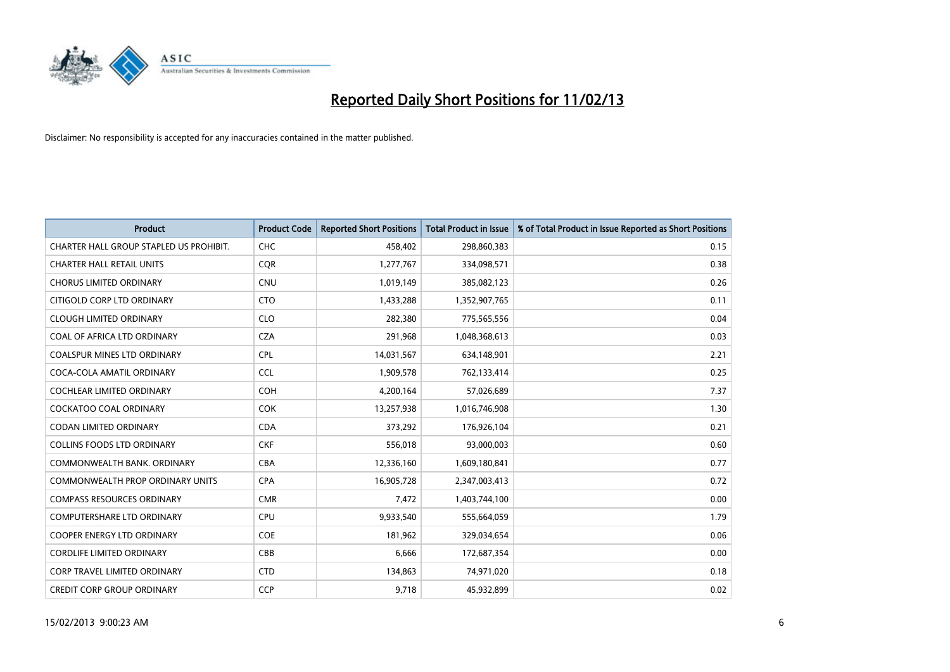

| <b>Product</b>                          | <b>Product Code</b> | <b>Reported Short Positions</b> | <b>Total Product in Issue</b> | % of Total Product in Issue Reported as Short Positions |
|-----------------------------------------|---------------------|---------------------------------|-------------------------------|---------------------------------------------------------|
| CHARTER HALL GROUP STAPLED US PROHIBIT. | <b>CHC</b>          | 458,402                         | 298,860,383                   | 0.15                                                    |
| <b>CHARTER HALL RETAIL UNITS</b>        | <b>CQR</b>          | 1,277,767                       | 334,098,571                   | 0.38                                                    |
| <b>CHORUS LIMITED ORDINARY</b>          | <b>CNU</b>          | 1,019,149                       | 385,082,123                   | 0.26                                                    |
| CITIGOLD CORP LTD ORDINARY              | <b>CTO</b>          | 1,433,288                       | 1,352,907,765                 | 0.11                                                    |
| <b>CLOUGH LIMITED ORDINARY</b>          | <b>CLO</b>          | 282,380                         | 775,565,556                   | 0.04                                                    |
| COAL OF AFRICA LTD ORDINARY             | <b>CZA</b>          | 291,968                         | 1,048,368,613                 | 0.03                                                    |
| <b>COALSPUR MINES LTD ORDINARY</b>      | <b>CPL</b>          | 14,031,567                      | 634,148,901                   | 2.21                                                    |
| COCA-COLA AMATIL ORDINARY               | <b>CCL</b>          | 1,909,578                       | 762,133,414                   | 0.25                                                    |
| <b>COCHLEAR LIMITED ORDINARY</b>        | <b>COH</b>          | 4,200,164                       | 57,026,689                    | 7.37                                                    |
| <b>COCKATOO COAL ORDINARY</b>           | COK                 | 13,257,938                      | 1,016,746,908                 | 1.30                                                    |
| CODAN LIMITED ORDINARY                  | <b>CDA</b>          | 373,292                         | 176,926,104                   | 0.21                                                    |
| <b>COLLINS FOODS LTD ORDINARY</b>       | <b>CKF</b>          | 556,018                         | 93,000,003                    | 0.60                                                    |
| COMMONWEALTH BANK. ORDINARY             | <b>CBA</b>          | 12,336,160                      | 1,609,180,841                 | 0.77                                                    |
| COMMONWEALTH PROP ORDINARY UNITS        | <b>CPA</b>          | 16,905,728                      | 2,347,003,413                 | 0.72                                                    |
| <b>COMPASS RESOURCES ORDINARY</b>       | <b>CMR</b>          | 7,472                           | 1,403,744,100                 | 0.00                                                    |
| <b>COMPUTERSHARE LTD ORDINARY</b>       | <b>CPU</b>          | 9,933,540                       | 555,664,059                   | 1.79                                                    |
| COOPER ENERGY LTD ORDINARY              | <b>COE</b>          | 181,962                         | 329,034,654                   | 0.06                                                    |
| <b>CORDLIFE LIMITED ORDINARY</b>        | CBB                 | 6,666                           | 172,687,354                   | 0.00                                                    |
| <b>CORP TRAVEL LIMITED ORDINARY</b>     | <b>CTD</b>          | 134,863                         | 74,971,020                    | 0.18                                                    |
| <b>CREDIT CORP GROUP ORDINARY</b>       | <b>CCP</b>          | 9,718                           | 45,932,899                    | 0.02                                                    |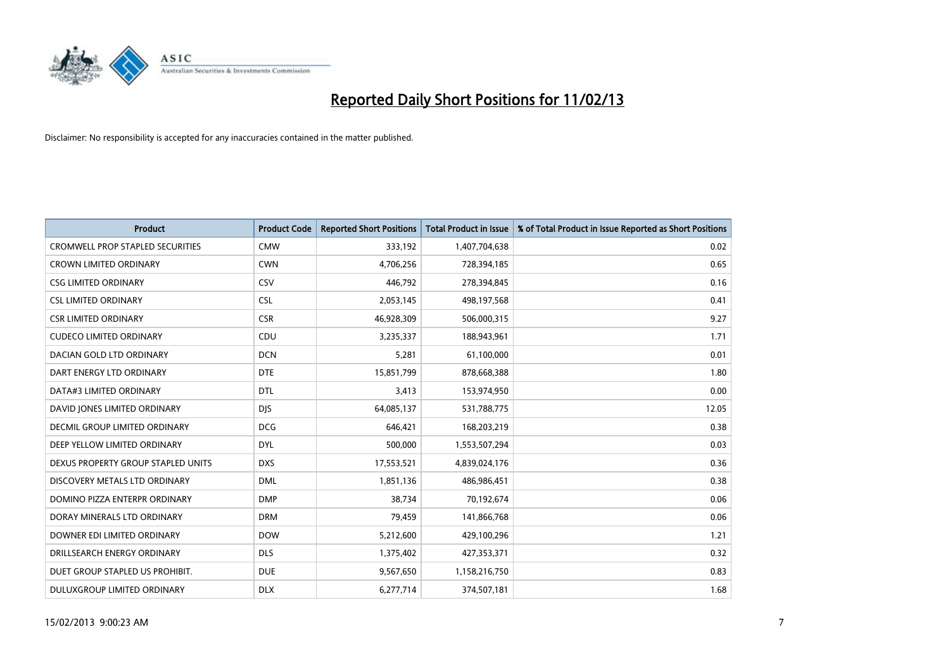

| <b>Product</b>                          | <b>Product Code</b> | <b>Reported Short Positions</b> | <b>Total Product in Issue</b> | % of Total Product in Issue Reported as Short Positions |
|-----------------------------------------|---------------------|---------------------------------|-------------------------------|---------------------------------------------------------|
| <b>CROMWELL PROP STAPLED SECURITIES</b> | <b>CMW</b>          | 333,192                         | 1,407,704,638                 | 0.02                                                    |
| <b>CROWN LIMITED ORDINARY</b>           | <b>CWN</b>          | 4,706,256                       | 728,394,185                   | 0.65                                                    |
| <b>CSG LIMITED ORDINARY</b>             | CSV                 | 446,792                         | 278,394,845                   | 0.16                                                    |
| <b>CSL LIMITED ORDINARY</b>             | <b>CSL</b>          | 2,053,145                       | 498,197,568                   | 0.41                                                    |
| <b>CSR LIMITED ORDINARY</b>             | <b>CSR</b>          | 46,928,309                      | 506,000,315                   | 9.27                                                    |
| <b>CUDECO LIMITED ORDINARY</b>          | CDU                 | 3,235,337                       | 188,943,961                   | 1.71                                                    |
| DACIAN GOLD LTD ORDINARY                | <b>DCN</b>          | 5,281                           | 61,100,000                    | 0.01                                                    |
| DART ENERGY LTD ORDINARY                | <b>DTE</b>          | 15,851,799                      | 878,668,388                   | 1.80                                                    |
| DATA#3 LIMITED ORDINARY                 | <b>DTL</b>          | 3,413                           | 153,974,950                   | 0.00                                                    |
| DAVID JONES LIMITED ORDINARY            | <b>DIS</b>          | 64,085,137                      | 531,788,775                   | 12.05                                                   |
| DECMIL GROUP LIMITED ORDINARY           | <b>DCG</b>          | 646,421                         | 168,203,219                   | 0.38                                                    |
| DEEP YELLOW LIMITED ORDINARY            | <b>DYL</b>          | 500,000                         | 1,553,507,294                 | 0.03                                                    |
| DEXUS PROPERTY GROUP STAPLED UNITS      | <b>DXS</b>          | 17,553,521                      | 4,839,024,176                 | 0.36                                                    |
| DISCOVERY METALS LTD ORDINARY           | <b>DML</b>          | 1,851,136                       | 486,986,451                   | 0.38                                                    |
| DOMINO PIZZA ENTERPR ORDINARY           | <b>DMP</b>          | 38,734                          | 70,192,674                    | 0.06                                                    |
| DORAY MINERALS LTD ORDINARY             | <b>DRM</b>          | 79,459                          | 141,866,768                   | 0.06                                                    |
| DOWNER EDI LIMITED ORDINARY             | <b>DOW</b>          | 5,212,600                       | 429,100,296                   | 1.21                                                    |
| DRILLSEARCH ENERGY ORDINARY             | <b>DLS</b>          | 1,375,402                       | 427,353,371                   | 0.32                                                    |
| DUET GROUP STAPLED US PROHIBIT.         | <b>DUE</b>          | 9,567,650                       | 1,158,216,750                 | 0.83                                                    |
| DULUXGROUP LIMITED ORDINARY             | <b>DLX</b>          | 6,277,714                       | 374,507,181                   | 1.68                                                    |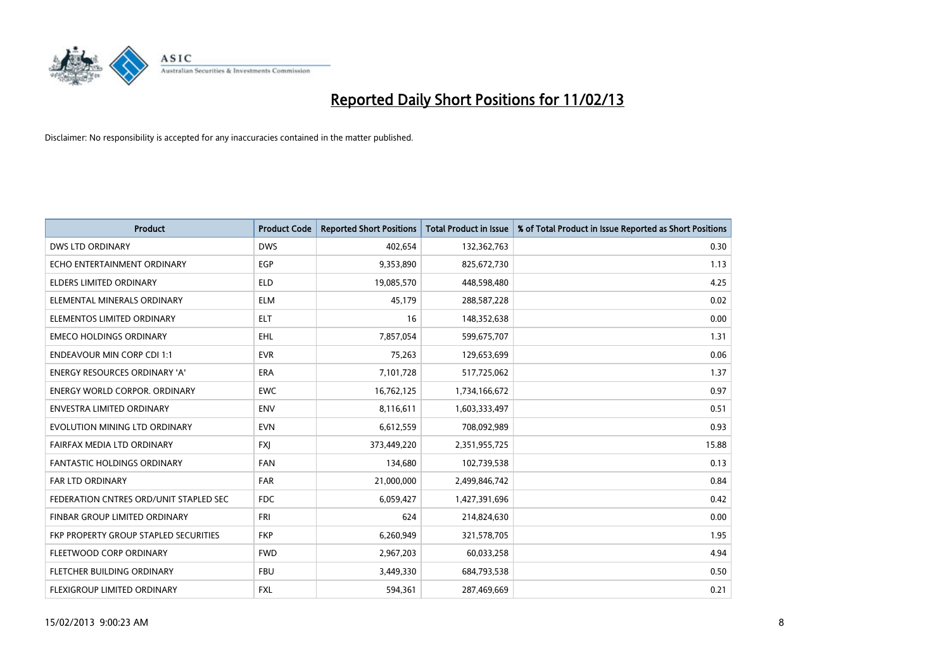

| <b>Product</b>                         | <b>Product Code</b> | <b>Reported Short Positions</b> | <b>Total Product in Issue</b> | % of Total Product in Issue Reported as Short Positions |
|----------------------------------------|---------------------|---------------------------------|-------------------------------|---------------------------------------------------------|
| <b>DWS LTD ORDINARY</b>                | <b>DWS</b>          | 402,654                         | 132,362,763                   | 0.30                                                    |
| ECHO ENTERTAINMENT ORDINARY            | EGP                 | 9,353,890                       | 825,672,730                   | 1.13                                                    |
| <b>ELDERS LIMITED ORDINARY</b>         | <b>ELD</b>          | 19,085,570                      | 448,598,480                   | 4.25                                                    |
| ELEMENTAL MINERALS ORDINARY            | <b>ELM</b>          | 45,179                          | 288,587,228                   | 0.02                                                    |
| ELEMENTOS LIMITED ORDINARY             | <b>ELT</b>          | 16                              | 148,352,638                   | 0.00                                                    |
| <b>EMECO HOLDINGS ORDINARY</b>         | <b>EHL</b>          | 7,857,054                       | 599,675,707                   | 1.31                                                    |
| <b>ENDEAVOUR MIN CORP CDI 1:1</b>      | <b>EVR</b>          | 75,263                          | 129,653,699                   | 0.06                                                    |
| ENERGY RESOURCES ORDINARY 'A'          | <b>ERA</b>          | 7,101,728                       | 517,725,062                   | 1.37                                                    |
| <b>ENERGY WORLD CORPOR, ORDINARY</b>   | <b>EWC</b>          | 16,762,125                      | 1,734,166,672                 | 0.97                                                    |
| <b>ENVESTRA LIMITED ORDINARY</b>       | <b>ENV</b>          | 8,116,611                       | 1,603,333,497                 | 0.51                                                    |
| EVOLUTION MINING LTD ORDINARY          | <b>EVN</b>          | 6,612,559                       | 708,092,989                   | 0.93                                                    |
| FAIRFAX MEDIA LTD ORDINARY             | <b>FXJ</b>          | 373,449,220                     | 2,351,955,725                 | 15.88                                                   |
| FANTASTIC HOLDINGS ORDINARY            | <b>FAN</b>          | 134,680                         | 102,739,538                   | 0.13                                                    |
| <b>FAR LTD ORDINARY</b>                | <b>FAR</b>          | 21,000,000                      | 2,499,846,742                 | 0.84                                                    |
| FEDERATION CNTRES ORD/UNIT STAPLED SEC | FDC                 | 6,059,427                       | 1,427,391,696                 | 0.42                                                    |
| FINBAR GROUP LIMITED ORDINARY          | <b>FRI</b>          | 624                             | 214,824,630                   | 0.00                                                    |
| FKP PROPERTY GROUP STAPLED SECURITIES  | <b>FKP</b>          | 6,260,949                       | 321,578,705                   | 1.95                                                    |
| FLEETWOOD CORP ORDINARY                | <b>FWD</b>          | 2,967,203                       | 60,033,258                    | 4.94                                                    |
| FLETCHER BUILDING ORDINARY             | <b>FBU</b>          | 3,449,330                       | 684,793,538                   | 0.50                                                    |
| FLEXIGROUP LIMITED ORDINARY            | <b>FXL</b>          | 594,361                         | 287,469,669                   | 0.21                                                    |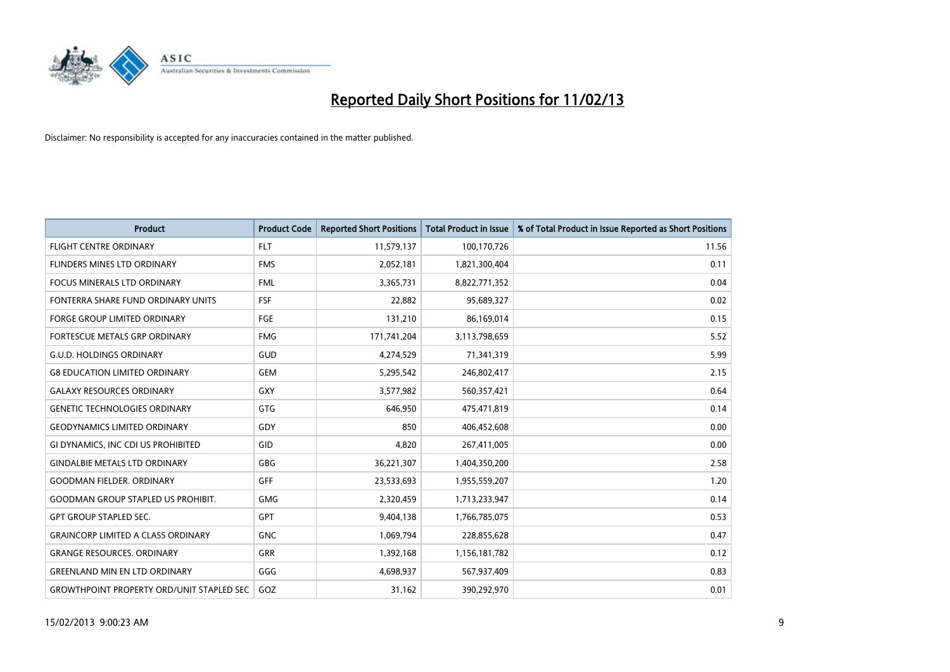

| <b>Product</b>                                   | <b>Product Code</b> | <b>Reported Short Positions</b> | <b>Total Product in Issue</b> | % of Total Product in Issue Reported as Short Positions |
|--------------------------------------------------|---------------------|---------------------------------|-------------------------------|---------------------------------------------------------|
| <b>FLIGHT CENTRE ORDINARY</b>                    | <b>FLT</b>          | 11,579,137                      | 100,170,726                   | 11.56                                                   |
| FLINDERS MINES LTD ORDINARY                      | <b>FMS</b>          | 2,052,181                       | 1,821,300,404                 | 0.11                                                    |
| <b>FOCUS MINERALS LTD ORDINARY</b>               | <b>FML</b>          | 3,365,731                       | 8,822,771,352                 | 0.04                                                    |
| FONTERRA SHARE FUND ORDINARY UNITS               | <b>FSF</b>          | 22,882                          | 95,689,327                    | 0.02                                                    |
| <b>FORGE GROUP LIMITED ORDINARY</b>              | FGE                 | 131,210                         | 86,169,014                    | 0.15                                                    |
| FORTESCUE METALS GRP ORDINARY                    | <b>FMG</b>          | 171,741,204                     | 3,113,798,659                 | 5.52                                                    |
| <b>G.U.D. HOLDINGS ORDINARY</b>                  | GUD                 | 4,274,529                       | 71,341,319                    | 5.99                                                    |
| <b>G8 EDUCATION LIMITED ORDINARY</b>             | <b>GEM</b>          | 5,295,542                       | 246,802,417                   | 2.15                                                    |
| <b>GALAXY RESOURCES ORDINARY</b>                 | GXY                 | 3,577,982                       | 560,357,421                   | 0.64                                                    |
| <b>GENETIC TECHNOLOGIES ORDINARY</b>             | <b>GTG</b>          | 646,950                         | 475,471,819                   | 0.14                                                    |
| <b>GEODYNAMICS LIMITED ORDINARY</b>              | GDY                 | 850                             | 406,452,608                   | 0.00                                                    |
| GI DYNAMICS, INC CDI US PROHIBITED               | GID                 | 4,820                           | 267,411,005                   | 0.00                                                    |
| <b>GINDALBIE METALS LTD ORDINARY</b>             | <b>GBG</b>          | 36,221,307                      | 1,404,350,200                 | 2.58                                                    |
| <b>GOODMAN FIELDER, ORDINARY</b>                 | <b>GFF</b>          | 23,533,693                      | 1,955,559,207                 | 1.20                                                    |
| <b>GOODMAN GROUP STAPLED US PROHIBIT.</b>        | <b>GMG</b>          | 2,320,459                       | 1,713,233,947                 | 0.14                                                    |
| <b>GPT GROUP STAPLED SEC.</b>                    | <b>GPT</b>          | 9,404,138                       | 1,766,785,075                 | 0.53                                                    |
| <b>GRAINCORP LIMITED A CLASS ORDINARY</b>        | <b>GNC</b>          | 1,069,794                       | 228,855,628                   | 0.47                                                    |
| <b>GRANGE RESOURCES. ORDINARY</b>                | <b>GRR</b>          | 1,392,168                       | 1,156,181,782                 | 0.12                                                    |
| <b>GREENLAND MIN EN LTD ORDINARY</b>             | GGG                 | 4,698,937                       | 567,937,409                   | 0.83                                                    |
| <b>GROWTHPOINT PROPERTY ORD/UNIT STAPLED SEC</b> | GOZ                 | 31,162                          | 390,292,970                   | 0.01                                                    |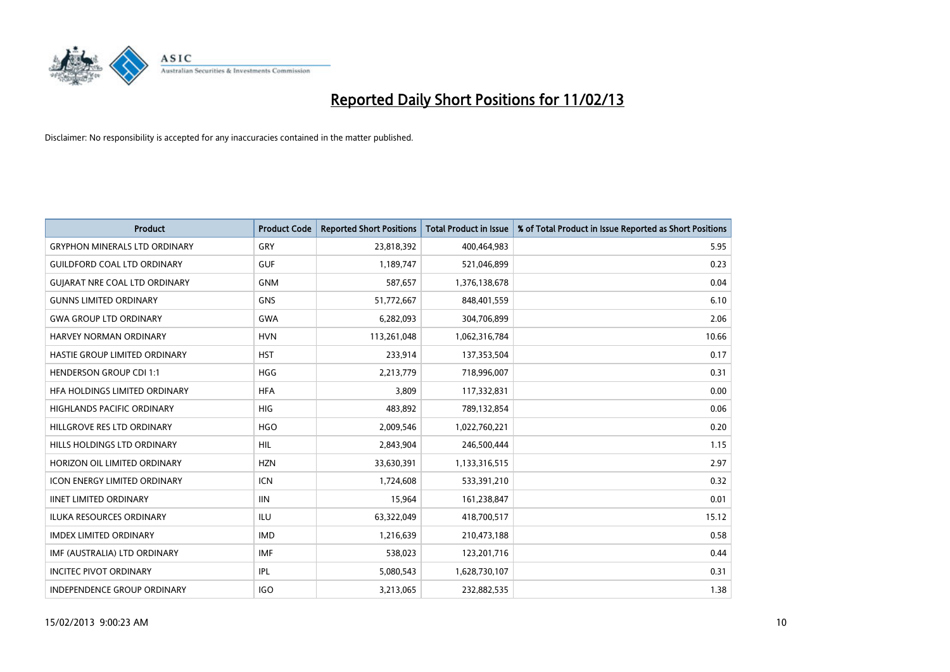

| <b>Product</b>                       | <b>Product Code</b> | <b>Reported Short Positions</b> | <b>Total Product in Issue</b> | % of Total Product in Issue Reported as Short Positions |
|--------------------------------------|---------------------|---------------------------------|-------------------------------|---------------------------------------------------------|
| <b>GRYPHON MINERALS LTD ORDINARY</b> | GRY                 | 23,818,392                      | 400,464,983                   | 5.95                                                    |
| <b>GUILDFORD COAL LTD ORDINARY</b>   | <b>GUF</b>          | 1,189,747                       | 521,046,899                   | 0.23                                                    |
| <b>GUIARAT NRE COAL LTD ORDINARY</b> | <b>GNM</b>          | 587,657                         | 1,376,138,678                 | 0.04                                                    |
| <b>GUNNS LIMITED ORDINARY</b>        | <b>GNS</b>          | 51,772,667                      | 848,401,559                   | 6.10                                                    |
| <b>GWA GROUP LTD ORDINARY</b>        | <b>GWA</b>          | 6,282,093                       | 304,706,899                   | 2.06                                                    |
| HARVEY NORMAN ORDINARY               | <b>HVN</b>          | 113,261,048                     | 1,062,316,784                 | 10.66                                                   |
| HASTIE GROUP LIMITED ORDINARY        | <b>HST</b>          | 233,914                         | 137,353,504                   | 0.17                                                    |
| <b>HENDERSON GROUP CDI 1:1</b>       | <b>HGG</b>          | 2,213,779                       | 718,996,007                   | 0.31                                                    |
| HFA HOLDINGS LIMITED ORDINARY        | <b>HFA</b>          | 3,809                           | 117,332,831                   | 0.00                                                    |
| <b>HIGHLANDS PACIFIC ORDINARY</b>    | <b>HIG</b>          | 483,892                         | 789,132,854                   | 0.06                                                    |
| HILLGROVE RES LTD ORDINARY           | <b>HGO</b>          | 2,009,546                       | 1,022,760,221                 | 0.20                                                    |
| HILLS HOLDINGS LTD ORDINARY          | HIL                 | 2,843,904                       | 246,500,444                   | 1.15                                                    |
| HORIZON OIL LIMITED ORDINARY         | <b>HZN</b>          | 33,630,391                      | 1,133,316,515                 | 2.97                                                    |
| <b>ICON ENERGY LIMITED ORDINARY</b>  | <b>ICN</b>          | 1,724,608                       | 533,391,210                   | 0.32                                                    |
| <b>IINET LIMITED ORDINARY</b>        | <b>IIN</b>          | 15,964                          | 161,238,847                   | 0.01                                                    |
| <b>ILUKA RESOURCES ORDINARY</b>      | <b>ILU</b>          | 63,322,049                      | 418,700,517                   | 15.12                                                   |
| <b>IMDEX LIMITED ORDINARY</b>        | <b>IMD</b>          | 1,216,639                       | 210,473,188                   | 0.58                                                    |
| IMF (AUSTRALIA) LTD ORDINARY         | <b>IMF</b>          | 538,023                         | 123,201,716                   | 0.44                                                    |
| <b>INCITEC PIVOT ORDINARY</b>        | <b>IPL</b>          | 5,080,543                       | 1,628,730,107                 | 0.31                                                    |
| INDEPENDENCE GROUP ORDINARY          | <b>IGO</b>          | 3,213,065                       | 232,882,535                   | 1.38                                                    |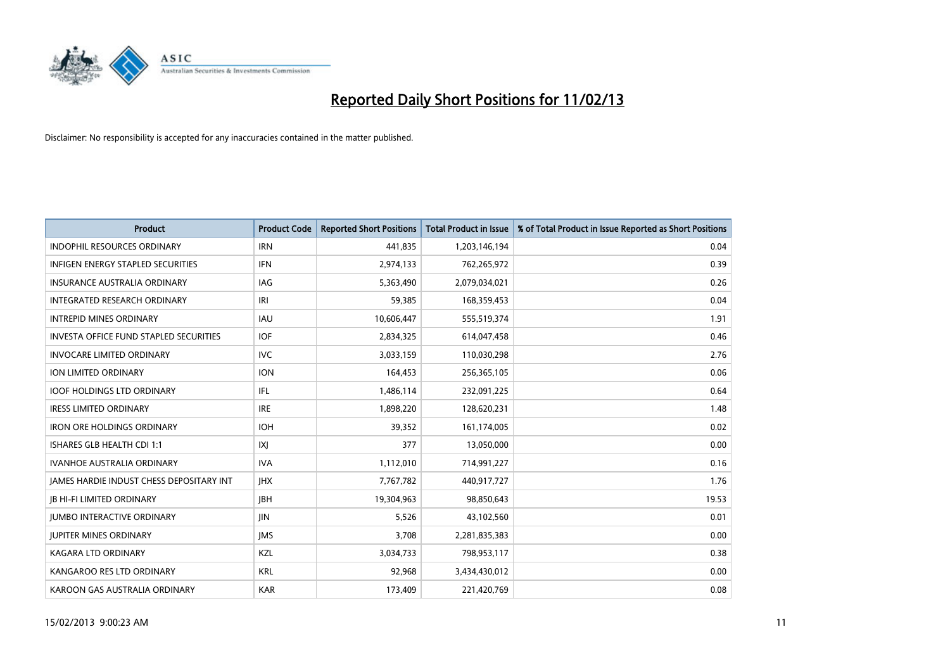

| <b>Product</b>                                | <b>Product Code</b> | <b>Reported Short Positions</b> | <b>Total Product in Issue</b> | % of Total Product in Issue Reported as Short Positions |
|-----------------------------------------------|---------------------|---------------------------------|-------------------------------|---------------------------------------------------------|
| <b>INDOPHIL RESOURCES ORDINARY</b>            | <b>IRN</b>          | 441,835                         | 1,203,146,194                 | 0.04                                                    |
| <b>INFIGEN ENERGY STAPLED SECURITIES</b>      | <b>IFN</b>          | 2,974,133                       | 762,265,972                   | 0.39                                                    |
| <b>INSURANCE AUSTRALIA ORDINARY</b>           | IAG                 | 5,363,490                       | 2,079,034,021                 | 0.26                                                    |
| INTEGRATED RESEARCH ORDINARY                  | IRI                 | 59,385                          | 168,359,453                   | 0.04                                                    |
| <b>INTREPID MINES ORDINARY</b>                | <b>IAU</b>          | 10,606,447                      | 555,519,374                   | 1.91                                                    |
| <b>INVESTA OFFICE FUND STAPLED SECURITIES</b> | <b>IOF</b>          | 2,834,325                       | 614,047,458                   | 0.46                                                    |
| <b>INVOCARE LIMITED ORDINARY</b>              | <b>IVC</b>          | 3,033,159                       | 110,030,298                   | 2.76                                                    |
| ION LIMITED ORDINARY                          | <b>ION</b>          | 164,453                         | 256,365,105                   | 0.06                                                    |
| <b>IOOF HOLDINGS LTD ORDINARY</b>             | IFL                 | 1,486,114                       | 232,091,225                   | 0.64                                                    |
| <b>IRESS LIMITED ORDINARY</b>                 | <b>IRE</b>          | 1,898,220                       | 128,620,231                   | 1.48                                                    |
| <b>IRON ORE HOLDINGS ORDINARY</b>             | <b>IOH</b>          | 39,352                          | 161,174,005                   | 0.02                                                    |
| ISHARES GLB HEALTH CDI 1:1                    | IXJ                 | 377                             | 13,050,000                    | 0.00                                                    |
| <b>IVANHOE AUSTRALIA ORDINARY</b>             | <b>IVA</b>          | 1,112,010                       | 714,991,227                   | 0.16                                                    |
| JAMES HARDIE INDUST CHESS DEPOSITARY INT      | <b>IHX</b>          | 7,767,782                       | 440,917,727                   | 1.76                                                    |
| <b>JB HI-FI LIMITED ORDINARY</b>              | <b>IBH</b>          | 19,304,963                      | 98,850,643                    | 19.53                                                   |
| <b>JUMBO INTERACTIVE ORDINARY</b>             | <b>IIN</b>          | 5,526                           | 43,102,560                    | 0.01                                                    |
| <b>JUPITER MINES ORDINARY</b>                 | <b>IMS</b>          | 3,708                           | 2,281,835,383                 | 0.00                                                    |
| <b>KAGARA LTD ORDINARY</b>                    | KZL                 | 3,034,733                       | 798,953,117                   | 0.38                                                    |
| KANGAROO RES LTD ORDINARY                     | <b>KRL</b>          | 92,968                          | 3,434,430,012                 | 0.00                                                    |
| KAROON GAS AUSTRALIA ORDINARY                 | <b>KAR</b>          | 173,409                         | 221,420,769                   | 0.08                                                    |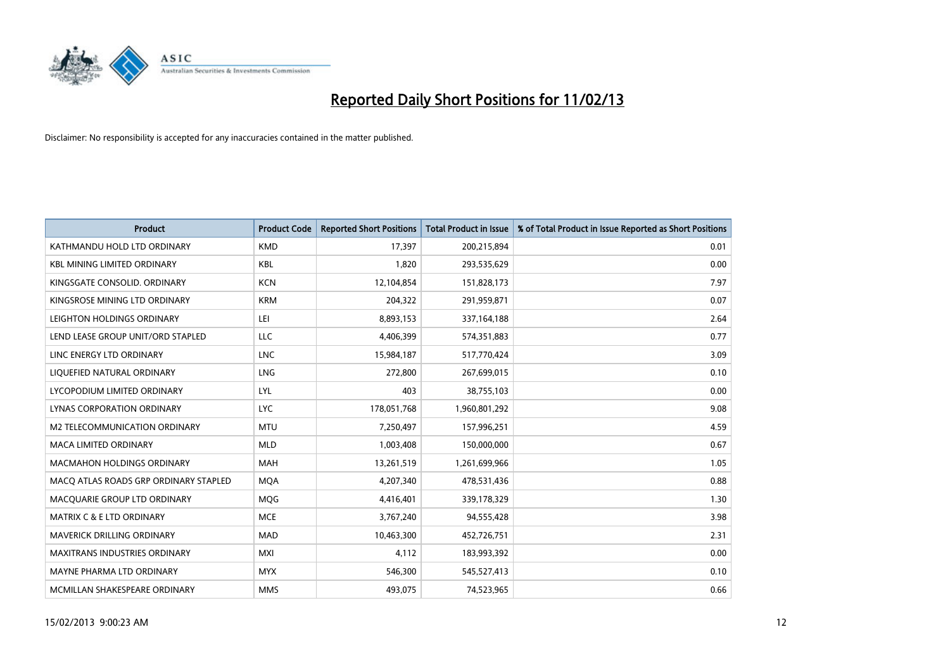

| <b>Product</b>                        | <b>Product Code</b> | <b>Reported Short Positions</b> | <b>Total Product in Issue</b> | % of Total Product in Issue Reported as Short Positions |
|---------------------------------------|---------------------|---------------------------------|-------------------------------|---------------------------------------------------------|
| KATHMANDU HOLD LTD ORDINARY           | <b>KMD</b>          | 17,397                          | 200,215,894                   | 0.01                                                    |
| <b>KBL MINING LIMITED ORDINARY</b>    | <b>KBL</b>          | 1,820                           | 293,535,629                   | 0.00                                                    |
| KINGSGATE CONSOLID. ORDINARY          | <b>KCN</b>          | 12,104,854                      | 151,828,173                   | 7.97                                                    |
| KINGSROSE MINING LTD ORDINARY         | <b>KRM</b>          | 204,322                         | 291,959,871                   | 0.07                                                    |
| LEIGHTON HOLDINGS ORDINARY            | LEI                 | 8,893,153                       | 337,164,188                   | 2.64                                                    |
| LEND LEASE GROUP UNIT/ORD STAPLED     | <b>LLC</b>          | 4,406,399                       | 574,351,883                   | 0.77                                                    |
| LINC ENERGY LTD ORDINARY              | <b>LNC</b>          | 15,984,187                      | 517,770,424                   | 3.09                                                    |
| LIQUEFIED NATURAL ORDINARY            | <b>LNG</b>          | 272,800                         | 267,699,015                   | 0.10                                                    |
| LYCOPODIUM LIMITED ORDINARY           | <b>LYL</b>          | 403                             | 38,755,103                    | 0.00                                                    |
| LYNAS CORPORATION ORDINARY            | <b>LYC</b>          | 178,051,768                     | 1,960,801,292                 | 9.08                                                    |
| M2 TELECOMMUNICATION ORDINARY         | <b>MTU</b>          | 7,250,497                       | 157,996,251                   | 4.59                                                    |
| <b>MACA LIMITED ORDINARY</b>          | <b>MLD</b>          | 1,003,408                       | 150,000,000                   | 0.67                                                    |
| MACMAHON HOLDINGS ORDINARY            | MAH                 | 13,261,519                      | 1,261,699,966                 | 1.05                                                    |
| MACO ATLAS ROADS GRP ORDINARY STAPLED | <b>MOA</b>          | 4,207,340                       | 478,531,436                   | 0.88                                                    |
| MACQUARIE GROUP LTD ORDINARY          | MQG                 | 4,416,401                       | 339,178,329                   | 1.30                                                    |
| <b>MATRIX C &amp; E LTD ORDINARY</b>  | <b>MCE</b>          | 3,767,240                       | 94,555,428                    | 3.98                                                    |
| MAVERICK DRILLING ORDINARY            | <b>MAD</b>          | 10,463,300                      | 452,726,751                   | 2.31                                                    |
| <b>MAXITRANS INDUSTRIES ORDINARY</b>  | <b>MXI</b>          | 4,112                           | 183,993,392                   | 0.00                                                    |
| MAYNE PHARMA LTD ORDINARY             | <b>MYX</b>          | 546,300                         | 545,527,413                   | 0.10                                                    |
| MCMILLAN SHAKESPEARE ORDINARY         | <b>MMS</b>          | 493,075                         | 74,523,965                    | 0.66                                                    |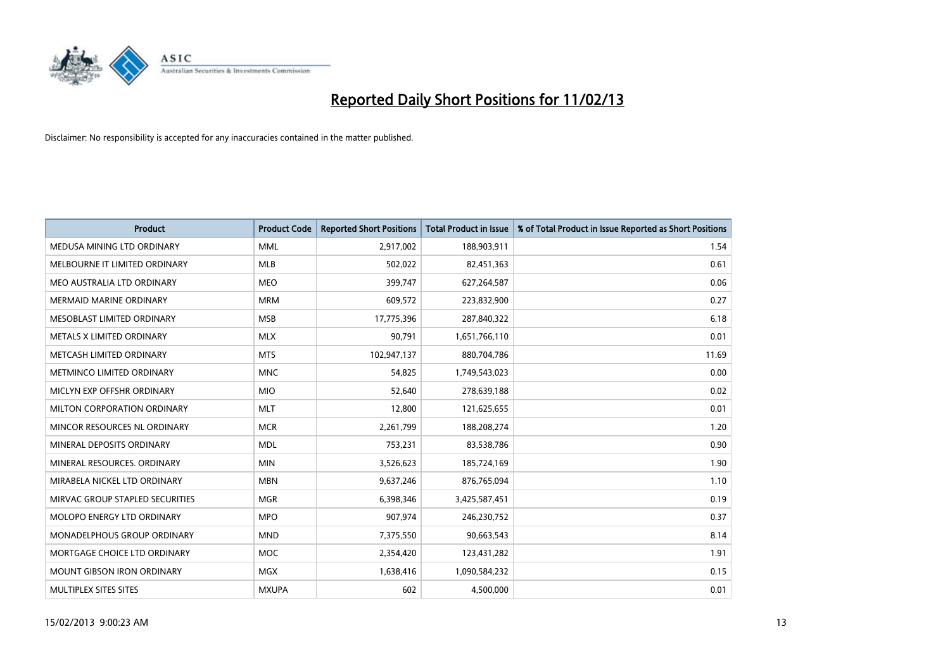

| <b>Product</b>                    | <b>Product Code</b> | <b>Reported Short Positions</b> | <b>Total Product in Issue</b> | % of Total Product in Issue Reported as Short Positions |
|-----------------------------------|---------------------|---------------------------------|-------------------------------|---------------------------------------------------------|
| MEDUSA MINING LTD ORDINARY        | <b>MML</b>          | 2,917,002                       | 188,903,911                   | 1.54                                                    |
| MELBOURNE IT LIMITED ORDINARY     | <b>MLB</b>          | 502,022                         | 82,451,363                    | 0.61                                                    |
| MEO AUSTRALIA LTD ORDINARY        | <b>MEO</b>          | 399,747                         | 627,264,587                   | 0.06                                                    |
| MERMAID MARINE ORDINARY           | <b>MRM</b>          | 609,572                         | 223,832,900                   | 0.27                                                    |
| MESOBLAST LIMITED ORDINARY        | <b>MSB</b>          | 17,775,396                      | 287,840,322                   | 6.18                                                    |
| METALS X LIMITED ORDINARY         | <b>MLX</b>          | 90,791                          | 1,651,766,110                 | 0.01                                                    |
| METCASH LIMITED ORDINARY          | <b>MTS</b>          | 102,947,137                     | 880,704,786                   | 11.69                                                   |
| METMINCO LIMITED ORDINARY         | <b>MNC</b>          | 54,825                          | 1,749,543,023                 | 0.00                                                    |
| MICLYN EXP OFFSHR ORDINARY        | <b>MIO</b>          | 52,640                          | 278,639,188                   | 0.02                                                    |
| MILTON CORPORATION ORDINARY       | <b>MLT</b>          | 12,800                          | 121,625,655                   | 0.01                                                    |
| MINCOR RESOURCES NL ORDINARY      | <b>MCR</b>          | 2,261,799                       | 188,208,274                   | 1.20                                                    |
| MINERAL DEPOSITS ORDINARY         | <b>MDL</b>          | 753,231                         | 83,538,786                    | 0.90                                                    |
| MINERAL RESOURCES. ORDINARY       | <b>MIN</b>          | 3,526,623                       | 185,724,169                   | 1.90                                                    |
| MIRABELA NICKEL LTD ORDINARY      | <b>MBN</b>          | 9,637,246                       | 876,765,094                   | 1.10                                                    |
| MIRVAC GROUP STAPLED SECURITIES   | <b>MGR</b>          | 6,398,346                       | 3,425,587,451                 | 0.19                                                    |
| MOLOPO ENERGY LTD ORDINARY        | <b>MPO</b>          | 907,974                         | 246,230,752                   | 0.37                                                    |
| MONADELPHOUS GROUP ORDINARY       | <b>MND</b>          | 7,375,550                       | 90,663,543                    | 8.14                                                    |
| MORTGAGE CHOICE LTD ORDINARY      | MOC                 | 2,354,420                       | 123,431,282                   | 1.91                                                    |
| <b>MOUNT GIBSON IRON ORDINARY</b> | <b>MGX</b>          | 1,638,416                       | 1,090,584,232                 | 0.15                                                    |
| MULTIPLEX SITES SITES             | <b>MXUPA</b>        | 602                             | 4,500,000                     | 0.01                                                    |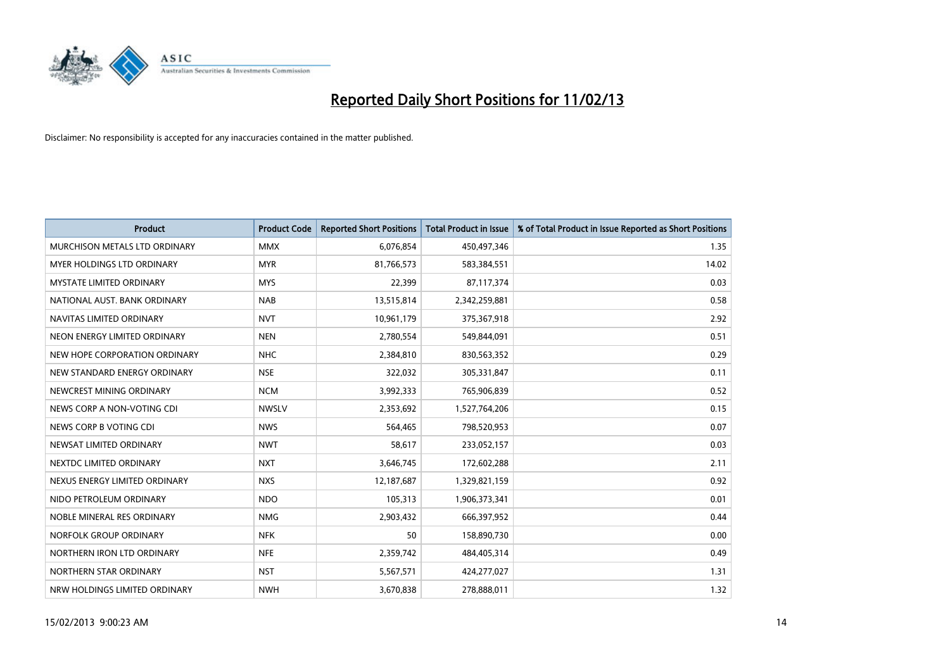

| <b>Product</b>                | <b>Product Code</b> | <b>Reported Short Positions</b> | <b>Total Product in Issue</b> | % of Total Product in Issue Reported as Short Positions |
|-------------------------------|---------------------|---------------------------------|-------------------------------|---------------------------------------------------------|
| MURCHISON METALS LTD ORDINARY | <b>MMX</b>          | 6,076,854                       | 450,497,346                   | 1.35                                                    |
| MYER HOLDINGS LTD ORDINARY    | <b>MYR</b>          | 81,766,573                      | 583,384,551                   | 14.02                                                   |
| MYSTATE LIMITED ORDINARY      | <b>MYS</b>          | 22,399                          | 87,117,374                    | 0.03                                                    |
| NATIONAL AUST, BANK ORDINARY  | <b>NAB</b>          | 13,515,814                      | 2,342,259,881                 | 0.58                                                    |
| NAVITAS LIMITED ORDINARY      | <b>NVT</b>          | 10,961,179                      | 375,367,918                   | 2.92                                                    |
| NEON ENERGY LIMITED ORDINARY  | <b>NEN</b>          | 2,780,554                       | 549,844,091                   | 0.51                                                    |
| NEW HOPE CORPORATION ORDINARY | <b>NHC</b>          | 2,384,810                       | 830,563,352                   | 0.29                                                    |
| NEW STANDARD ENERGY ORDINARY  | <b>NSE</b>          | 322,032                         | 305,331,847                   | 0.11                                                    |
| NEWCREST MINING ORDINARY      | <b>NCM</b>          | 3,992,333                       | 765,906,839                   | 0.52                                                    |
| NEWS CORP A NON-VOTING CDI    | <b>NWSLV</b>        | 2,353,692                       | 1,527,764,206                 | 0.15                                                    |
| NEWS CORP B VOTING CDI        | <b>NWS</b>          | 564,465                         | 798,520,953                   | 0.07                                                    |
| NEWSAT LIMITED ORDINARY       | <b>NWT</b>          | 58,617                          | 233,052,157                   | 0.03                                                    |
| NEXTDC LIMITED ORDINARY       | <b>NXT</b>          | 3,646,745                       | 172,602,288                   | 2.11                                                    |
| NEXUS ENERGY LIMITED ORDINARY | <b>NXS</b>          | 12,187,687                      | 1,329,821,159                 | 0.92                                                    |
| NIDO PETROLEUM ORDINARY       | <b>NDO</b>          | 105,313                         | 1,906,373,341                 | 0.01                                                    |
| NOBLE MINERAL RES ORDINARY    | <b>NMG</b>          | 2,903,432                       | 666,397,952                   | 0.44                                                    |
| NORFOLK GROUP ORDINARY        | <b>NFK</b>          | 50                              | 158,890,730                   | 0.00                                                    |
| NORTHERN IRON LTD ORDINARY    | <b>NFE</b>          | 2,359,742                       | 484,405,314                   | 0.49                                                    |
| NORTHERN STAR ORDINARY        | <b>NST</b>          | 5,567,571                       | 424,277,027                   | 1.31                                                    |
| NRW HOLDINGS LIMITED ORDINARY | <b>NWH</b>          | 3,670,838                       | 278,888,011                   | 1.32                                                    |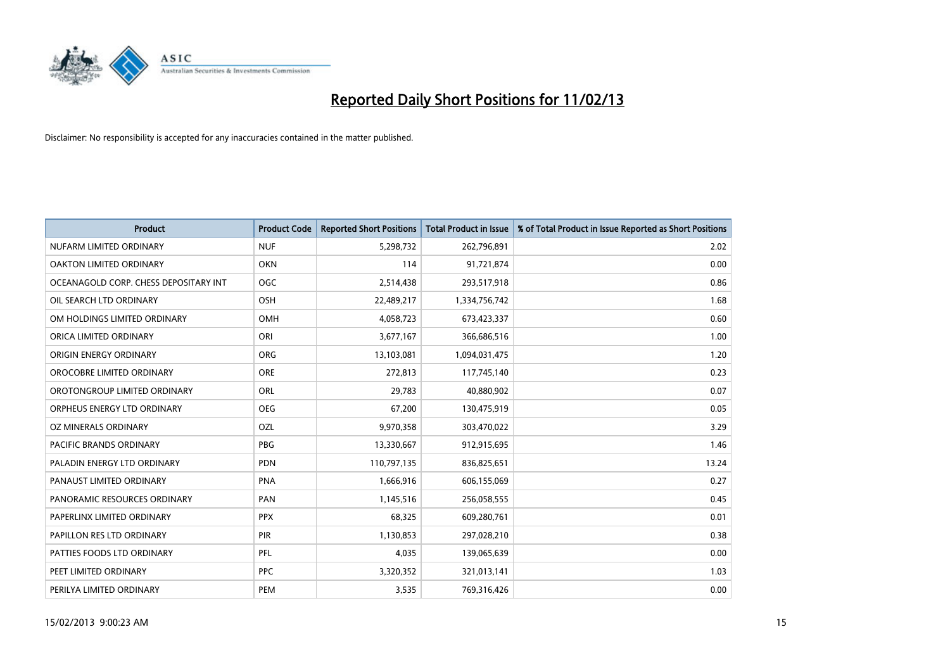

| <b>Product</b>                        | <b>Product Code</b> | <b>Reported Short Positions</b> | <b>Total Product in Issue</b> | % of Total Product in Issue Reported as Short Positions |
|---------------------------------------|---------------------|---------------------------------|-------------------------------|---------------------------------------------------------|
| NUFARM LIMITED ORDINARY               | <b>NUF</b>          | 5,298,732                       | 262,796,891                   | 2.02                                                    |
| OAKTON LIMITED ORDINARY               | <b>OKN</b>          | 114                             | 91,721,874                    | 0.00                                                    |
| OCEANAGOLD CORP. CHESS DEPOSITARY INT | OGC                 | 2,514,438                       | 293,517,918                   | 0.86                                                    |
| OIL SEARCH LTD ORDINARY               | OSH                 | 22,489,217                      | 1,334,756,742                 | 1.68                                                    |
| OM HOLDINGS LIMITED ORDINARY          | OMH                 | 4,058,723                       | 673,423,337                   | 0.60                                                    |
| ORICA LIMITED ORDINARY                | ORI                 | 3,677,167                       | 366,686,516                   | 1.00                                                    |
| ORIGIN ENERGY ORDINARY                | <b>ORG</b>          | 13,103,081                      | 1,094,031,475                 | 1.20                                                    |
| OROCOBRE LIMITED ORDINARY             | <b>ORE</b>          | 272,813                         | 117,745,140                   | 0.23                                                    |
| OROTONGROUP LIMITED ORDINARY          | ORL                 | 29,783                          | 40,880,902                    | 0.07                                                    |
| ORPHEUS ENERGY LTD ORDINARY           | <b>OEG</b>          | 67,200                          | 130,475,919                   | 0.05                                                    |
| <b>OZ MINERALS ORDINARY</b>           | OZL                 | 9,970,358                       | 303,470,022                   | 3.29                                                    |
| <b>PACIFIC BRANDS ORDINARY</b>        | <b>PBG</b>          | 13,330,667                      | 912,915,695                   | 1.46                                                    |
| PALADIN ENERGY LTD ORDINARY           | <b>PDN</b>          | 110,797,135                     | 836,825,651                   | 13.24                                                   |
| PANAUST LIMITED ORDINARY              | <b>PNA</b>          | 1,666,916                       | 606,155,069                   | 0.27                                                    |
| PANORAMIC RESOURCES ORDINARY          | PAN                 | 1,145,516                       | 256,058,555                   | 0.45                                                    |
| PAPERLINX LIMITED ORDINARY            | <b>PPX</b>          | 68,325                          | 609,280,761                   | 0.01                                                    |
| PAPILLON RES LTD ORDINARY             | <b>PIR</b>          | 1,130,853                       | 297,028,210                   | 0.38                                                    |
| PATTIES FOODS LTD ORDINARY            | PFL                 | 4,035                           | 139,065,639                   | 0.00                                                    |
| PEET LIMITED ORDINARY                 | <b>PPC</b>          | 3,320,352                       | 321,013,141                   | 1.03                                                    |
| PERILYA LIMITED ORDINARY              | PEM                 | 3,535                           | 769,316,426                   | 0.00                                                    |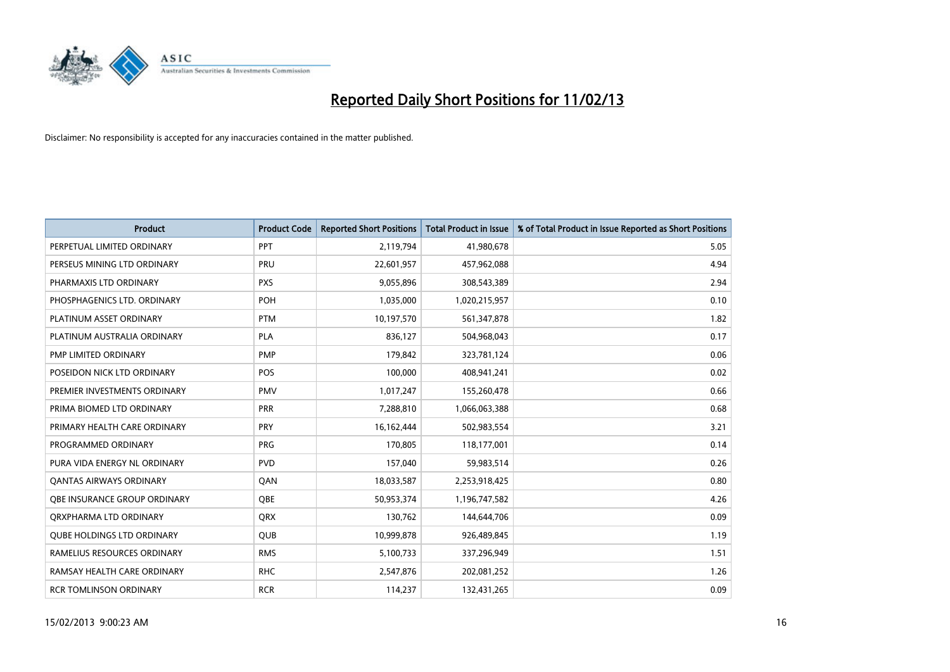

| <b>Product</b>                    | <b>Product Code</b> | <b>Reported Short Positions</b> | <b>Total Product in Issue</b> | % of Total Product in Issue Reported as Short Positions |
|-----------------------------------|---------------------|---------------------------------|-------------------------------|---------------------------------------------------------|
| PERPETUAL LIMITED ORDINARY        | PPT                 | 2,119,794                       | 41,980,678                    | 5.05                                                    |
| PERSEUS MINING LTD ORDINARY       | PRU                 | 22,601,957                      | 457,962,088                   | 4.94                                                    |
| PHARMAXIS LTD ORDINARY            | <b>PXS</b>          | 9,055,896                       | 308,543,389                   | 2.94                                                    |
| PHOSPHAGENICS LTD. ORDINARY       | POH                 | 1,035,000                       | 1,020,215,957                 | 0.10                                                    |
| PLATINUM ASSET ORDINARY           | <b>PTM</b>          | 10,197,570                      | 561,347,878                   | 1.82                                                    |
| PLATINUM AUSTRALIA ORDINARY       | <b>PLA</b>          | 836,127                         | 504,968,043                   | 0.17                                                    |
| PMP LIMITED ORDINARY              | <b>PMP</b>          | 179,842                         | 323,781,124                   | 0.06                                                    |
| POSEIDON NICK LTD ORDINARY        | <b>POS</b>          | 100,000                         | 408,941,241                   | 0.02                                                    |
| PREMIER INVESTMENTS ORDINARY      | <b>PMV</b>          | 1,017,247                       | 155,260,478                   | 0.66                                                    |
| PRIMA BIOMED LTD ORDINARY         | <b>PRR</b>          | 7,288,810                       | 1,066,063,388                 | 0.68                                                    |
| PRIMARY HEALTH CARE ORDINARY      | <b>PRY</b>          | 16,162,444                      | 502,983,554                   | 3.21                                                    |
| PROGRAMMED ORDINARY               | <b>PRG</b>          | 170,805                         | 118,177,001                   | 0.14                                                    |
| PURA VIDA ENERGY NL ORDINARY      | <b>PVD</b>          | 157,040                         | 59,983,514                    | 0.26                                                    |
| <b>QANTAS AIRWAYS ORDINARY</b>    | QAN                 | 18,033,587                      | 2,253,918,425                 | 0.80                                                    |
| OBE INSURANCE GROUP ORDINARY      | <b>OBE</b>          | 50,953,374                      | 1,196,747,582                 | 4.26                                                    |
| ORXPHARMA LTD ORDINARY            | QRX                 | 130,762                         | 144,644,706                   | 0.09                                                    |
| <b>QUBE HOLDINGS LTD ORDINARY</b> | QUB                 | 10,999,878                      | 926,489,845                   | 1.19                                                    |
| RAMELIUS RESOURCES ORDINARY       | <b>RMS</b>          | 5,100,733                       | 337,296,949                   | 1.51                                                    |
| RAMSAY HEALTH CARE ORDINARY       | <b>RHC</b>          | 2,547,876                       | 202,081,252                   | 1.26                                                    |
| <b>RCR TOMLINSON ORDINARY</b>     | <b>RCR</b>          | 114,237                         | 132,431,265                   | 0.09                                                    |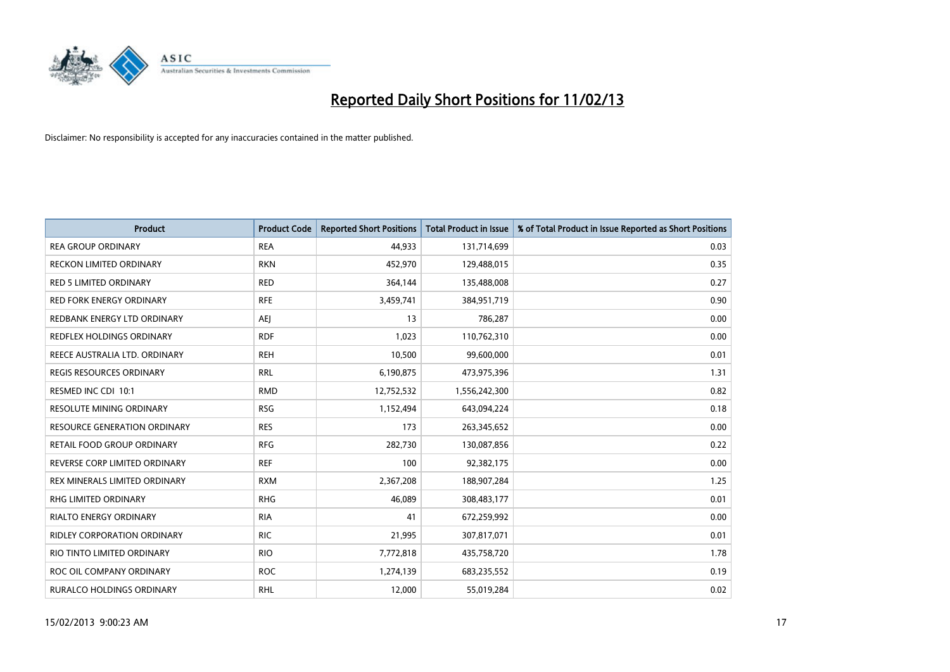

| <b>Product</b>                   | <b>Product Code</b> | <b>Reported Short Positions</b> | <b>Total Product in Issue</b> | % of Total Product in Issue Reported as Short Positions |
|----------------------------------|---------------------|---------------------------------|-------------------------------|---------------------------------------------------------|
| <b>REA GROUP ORDINARY</b>        | <b>REA</b>          | 44,933                          | 131,714,699                   | 0.03                                                    |
| RECKON LIMITED ORDINARY          | <b>RKN</b>          | 452,970                         | 129,488,015                   | 0.35                                                    |
| <b>RED 5 LIMITED ORDINARY</b>    | <b>RED</b>          | 364,144                         | 135,488,008                   | 0.27                                                    |
| <b>RED FORK ENERGY ORDINARY</b>  | <b>RFE</b>          | 3,459,741                       | 384,951,719                   | 0.90                                                    |
| REDBANK ENERGY LTD ORDINARY      | <b>AEI</b>          | 13                              | 786,287                       | 0.00                                                    |
| <b>REDFLEX HOLDINGS ORDINARY</b> | <b>RDF</b>          | 1,023                           | 110,762,310                   | 0.00                                                    |
| REECE AUSTRALIA LTD. ORDINARY    | <b>REH</b>          | 10,500                          | 99,600,000                    | 0.01                                                    |
| REGIS RESOURCES ORDINARY         | <b>RRL</b>          | 6,190,875                       | 473,975,396                   | 1.31                                                    |
| RESMED INC CDI 10:1              | <b>RMD</b>          | 12,752,532                      | 1,556,242,300                 | 0.82                                                    |
| <b>RESOLUTE MINING ORDINARY</b>  | <b>RSG</b>          | 1,152,494                       | 643,094,224                   | 0.18                                                    |
| RESOURCE GENERATION ORDINARY     | <b>RES</b>          | 173                             | 263,345,652                   | 0.00                                                    |
| RETAIL FOOD GROUP ORDINARY       | <b>RFG</b>          | 282,730                         | 130,087,856                   | 0.22                                                    |
| REVERSE CORP LIMITED ORDINARY    | <b>REF</b>          | 100                             | 92,382,175                    | 0.00                                                    |
| REX MINERALS LIMITED ORDINARY    | <b>RXM</b>          | 2,367,208                       | 188,907,284                   | 1.25                                                    |
| <b>RHG LIMITED ORDINARY</b>      | <b>RHG</b>          | 46,089                          | 308,483,177                   | 0.01                                                    |
| RIALTO ENERGY ORDINARY           | <b>RIA</b>          | 41                              | 672,259,992                   | 0.00                                                    |
| RIDLEY CORPORATION ORDINARY      | <b>RIC</b>          | 21,995                          | 307,817,071                   | 0.01                                                    |
| RIO TINTO LIMITED ORDINARY       | <b>RIO</b>          | 7,772,818                       | 435,758,720                   | 1.78                                                    |
| ROC OIL COMPANY ORDINARY         | <b>ROC</b>          | 1,274,139                       | 683,235,552                   | 0.19                                                    |
| RURALCO HOLDINGS ORDINARY        | <b>RHL</b>          | 12,000                          | 55,019,284                    | 0.02                                                    |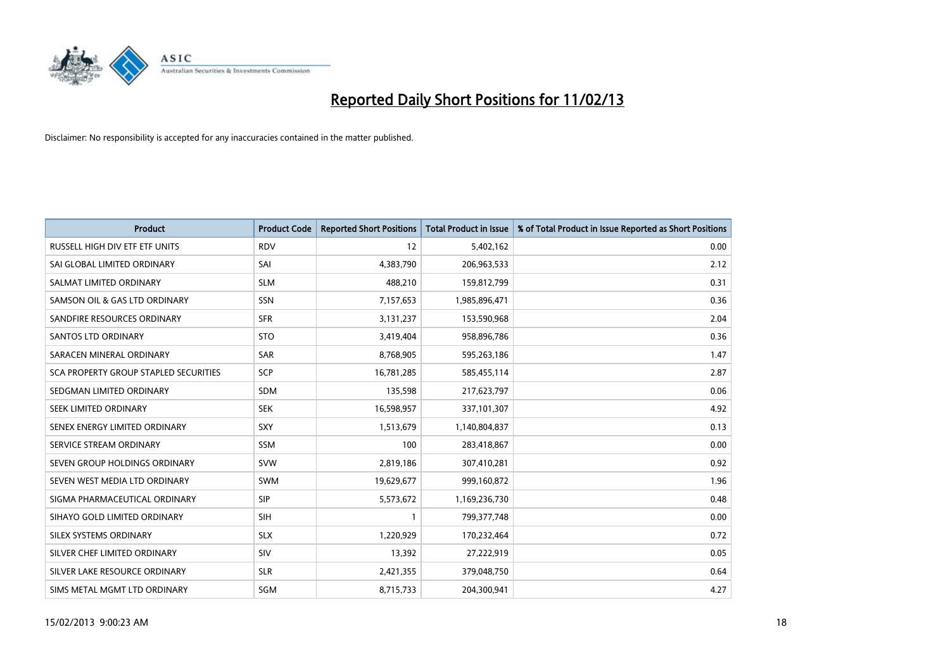

| <b>Product</b>                        | <b>Product Code</b> | <b>Reported Short Positions</b> | <b>Total Product in Issue</b> | % of Total Product in Issue Reported as Short Positions |
|---------------------------------------|---------------------|---------------------------------|-------------------------------|---------------------------------------------------------|
| RUSSELL HIGH DIV ETF ETF UNITS        | <b>RDV</b>          | 12                              | 5,402,162                     | 0.00                                                    |
| SAI GLOBAL LIMITED ORDINARY           | SAI                 | 4,383,790                       | 206,963,533                   | 2.12                                                    |
| SALMAT LIMITED ORDINARY               | <b>SLM</b>          | 488,210                         | 159,812,799                   | 0.31                                                    |
| SAMSON OIL & GAS LTD ORDINARY         | SSN                 | 7,157,653                       | 1,985,896,471                 | 0.36                                                    |
|                                       |                     |                                 |                               |                                                         |
| SANDFIRE RESOURCES ORDINARY           | <b>SFR</b>          | 3,131,237                       | 153,590,968                   | 2.04                                                    |
| SANTOS LTD ORDINARY                   | <b>STO</b>          | 3,419,404                       | 958,896,786                   | 0.36                                                    |
| SARACEN MINERAL ORDINARY              | SAR                 | 8,768,905                       | 595,263,186                   | 1.47                                                    |
| SCA PROPERTY GROUP STAPLED SECURITIES | SCP                 | 16,781,285                      | 585,455,114                   | 2.87                                                    |
| SEDGMAN LIMITED ORDINARY              | <b>SDM</b>          | 135,598                         | 217,623,797                   | 0.06                                                    |
| SEEK LIMITED ORDINARY                 | <b>SEK</b>          | 16,598,957                      | 337,101,307                   | 4.92                                                    |
| SENEX ENERGY LIMITED ORDINARY         | <b>SXY</b>          | 1,513,679                       | 1,140,804,837                 | 0.13                                                    |
| SERVICE STREAM ORDINARY               | <b>SSM</b>          | 100                             | 283,418,867                   | 0.00                                                    |
| SEVEN GROUP HOLDINGS ORDINARY         | <b>SVW</b>          | 2,819,186                       | 307,410,281                   | 0.92                                                    |
| SEVEN WEST MEDIA LTD ORDINARY         | <b>SWM</b>          | 19,629,677                      | 999,160,872                   | 1.96                                                    |
| SIGMA PHARMACEUTICAL ORDINARY         | <b>SIP</b>          | 5,573,672                       | 1,169,236,730                 | 0.48                                                    |
| SIHAYO GOLD LIMITED ORDINARY          | SIH                 | $\mathbf{1}$                    | 799, 377, 748                 | 0.00                                                    |
| SILEX SYSTEMS ORDINARY                | <b>SLX</b>          | 1,220,929                       | 170,232,464                   | 0.72                                                    |
| SILVER CHEF LIMITED ORDINARY          | SIV                 | 13,392                          | 27,222,919                    | 0.05                                                    |
| SILVER LAKE RESOURCE ORDINARY         | <b>SLR</b>          | 2,421,355                       | 379,048,750                   | 0.64                                                    |
| SIMS METAL MGMT LTD ORDINARY          | SGM                 | 8,715,733                       | 204,300,941                   | 4.27                                                    |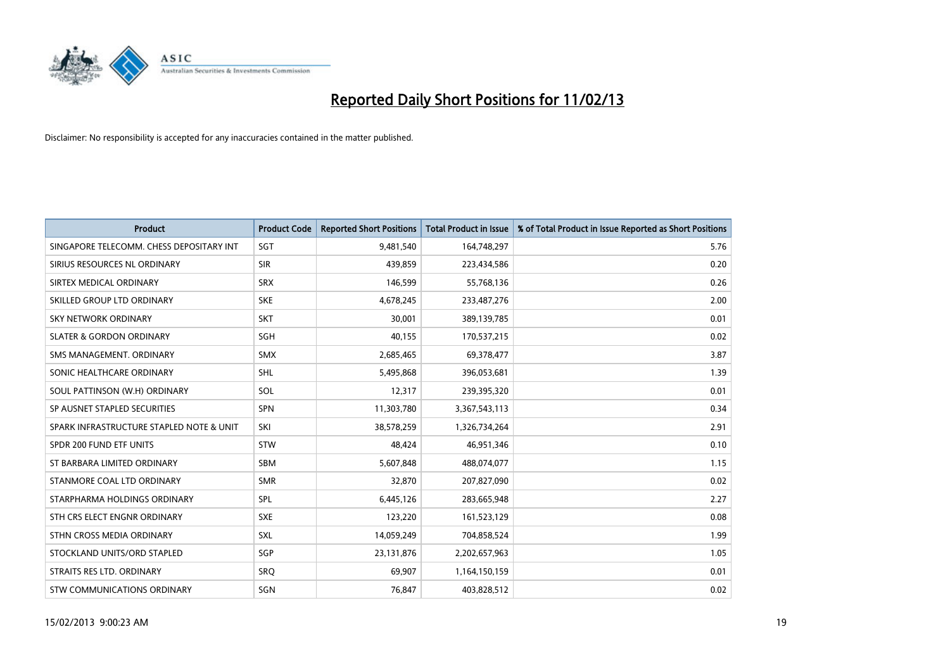

| <b>Product</b>                           | <b>Product Code</b> | <b>Reported Short Positions</b> | <b>Total Product in Issue</b> | % of Total Product in Issue Reported as Short Positions |
|------------------------------------------|---------------------|---------------------------------|-------------------------------|---------------------------------------------------------|
| SINGAPORE TELECOMM. CHESS DEPOSITARY INT | SGT                 | 9,481,540                       | 164,748,297                   | 5.76                                                    |
| SIRIUS RESOURCES NL ORDINARY             | <b>SIR</b>          | 439,859                         | 223,434,586                   | 0.20                                                    |
| SIRTEX MEDICAL ORDINARY                  | <b>SRX</b>          | 146,599                         | 55,768,136                    | 0.26                                                    |
| SKILLED GROUP LTD ORDINARY               | <b>SKE</b>          | 4,678,245                       | 233,487,276                   | 2.00                                                    |
| <b>SKY NETWORK ORDINARY</b>              | <b>SKT</b>          | 30,001                          | 389,139,785                   | 0.01                                                    |
| <b>SLATER &amp; GORDON ORDINARY</b>      | SGH                 | 40,155                          | 170,537,215                   | 0.02                                                    |
| SMS MANAGEMENT, ORDINARY                 | <b>SMX</b>          | 2,685,465                       | 69,378,477                    | 3.87                                                    |
| SONIC HEALTHCARE ORDINARY                | <b>SHL</b>          | 5,495,868                       | 396,053,681                   | 1.39                                                    |
| SOUL PATTINSON (W.H) ORDINARY            | SOL                 | 12,317                          | 239,395,320                   | 0.01                                                    |
| SP AUSNET STAPLED SECURITIES             | <b>SPN</b>          | 11,303,780                      | 3,367,543,113                 | 0.34                                                    |
| SPARK INFRASTRUCTURE STAPLED NOTE & UNIT | SKI                 | 38,578,259                      | 1,326,734,264                 | 2.91                                                    |
| SPDR 200 FUND ETF UNITS                  | <b>STW</b>          | 48,424                          | 46,951,346                    | 0.10                                                    |
| ST BARBARA LIMITED ORDINARY              | <b>SBM</b>          | 5,607,848                       | 488,074,077                   | 1.15                                                    |
| STANMORE COAL LTD ORDINARY               | <b>SMR</b>          | 32,870                          | 207,827,090                   | 0.02                                                    |
| STARPHARMA HOLDINGS ORDINARY             | <b>SPL</b>          | 6,445,126                       | 283,665,948                   | 2.27                                                    |
| STH CRS ELECT ENGNR ORDINARY             | <b>SXE</b>          | 123,220                         | 161,523,129                   | 0.08                                                    |
| STHN CROSS MEDIA ORDINARY                | <b>SXL</b>          | 14,059,249                      | 704,858,524                   | 1.99                                                    |
| STOCKLAND UNITS/ORD STAPLED              | SGP                 | 23,131,876                      | 2,202,657,963                 | 1.05                                                    |
| STRAITS RES LTD. ORDINARY                | <b>SRO</b>          | 69,907                          | 1,164,150,159                 | 0.01                                                    |
| STW COMMUNICATIONS ORDINARY              | SGN                 | 76,847                          | 403,828,512                   | 0.02                                                    |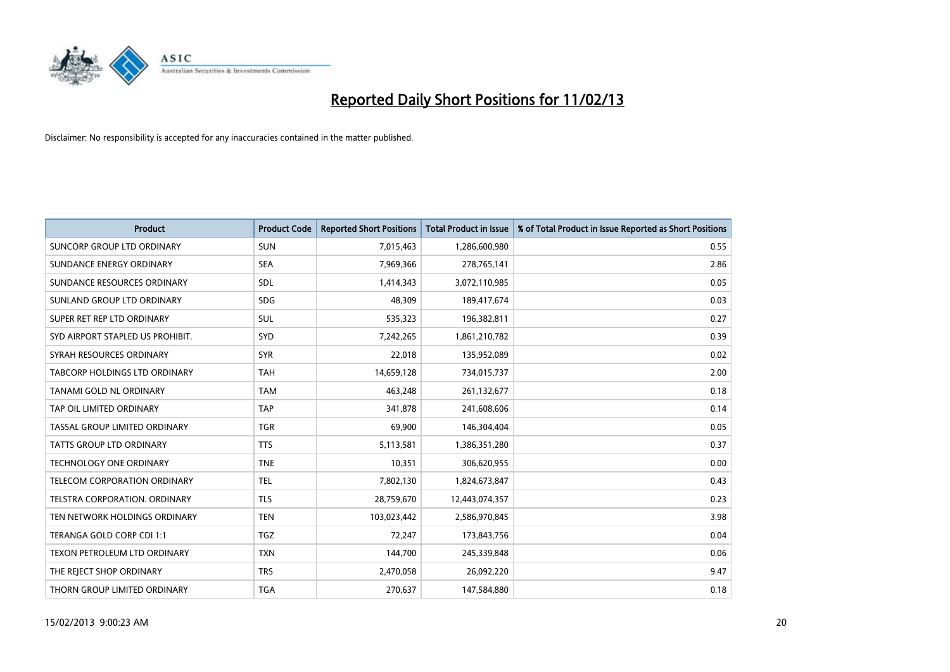

| <b>Product</b>                    | <b>Product Code</b> | <b>Reported Short Positions</b> | <b>Total Product in Issue</b> | % of Total Product in Issue Reported as Short Positions |
|-----------------------------------|---------------------|---------------------------------|-------------------------------|---------------------------------------------------------|
| <b>SUNCORP GROUP LTD ORDINARY</b> | <b>SUN</b>          | 7,015,463                       | 1,286,600,980                 | 0.55                                                    |
| SUNDANCE ENERGY ORDINARY          | <b>SEA</b>          | 7,969,366                       | 278,765,141                   | 2.86                                                    |
| SUNDANCE RESOURCES ORDINARY       | <b>SDL</b>          | 1,414,343                       | 3,072,110,985                 | 0.05                                                    |
| SUNLAND GROUP LTD ORDINARY        | <b>SDG</b>          | 48,309                          | 189,417,674                   | 0.03                                                    |
| SUPER RET REP LTD ORDINARY        | SUL                 | 535,323                         | 196,382,811                   | 0.27                                                    |
| SYD AIRPORT STAPLED US PROHIBIT.  | <b>SYD</b>          | 7,242,265                       | 1,861,210,782                 | 0.39                                                    |
| SYRAH RESOURCES ORDINARY          | <b>SYR</b>          | 22,018                          | 135,952,089                   | 0.02                                                    |
| TABCORP HOLDINGS LTD ORDINARY     | <b>TAH</b>          | 14,659,128                      | 734,015,737                   | 2.00                                                    |
| TANAMI GOLD NL ORDINARY           | <b>TAM</b>          | 463,248                         | 261,132,677                   | 0.18                                                    |
| TAP OIL LIMITED ORDINARY          | <b>TAP</b>          | 341,878                         | 241,608,606                   | 0.14                                                    |
| TASSAL GROUP LIMITED ORDINARY     | <b>TGR</b>          | 69,900                          | 146,304,404                   | 0.05                                                    |
| <b>TATTS GROUP LTD ORDINARY</b>   | <b>TTS</b>          | 5,113,581                       | 1,386,351,280                 | 0.37                                                    |
| TECHNOLOGY ONE ORDINARY           | <b>TNE</b>          | 10,351                          | 306,620,955                   | 0.00                                                    |
| TELECOM CORPORATION ORDINARY      | <b>TEL</b>          | 7,802,130                       | 1,824,673,847                 | 0.43                                                    |
| TELSTRA CORPORATION, ORDINARY     | <b>TLS</b>          | 28,759,670                      | 12,443,074,357                | 0.23                                                    |
| TEN NETWORK HOLDINGS ORDINARY     | <b>TEN</b>          | 103,023,442                     | 2,586,970,845                 | 3.98                                                    |
| TERANGA GOLD CORP CDI 1:1         | <b>TGZ</b>          | 72,247                          | 173,843,756                   | 0.04                                                    |
| TEXON PETROLEUM LTD ORDINARY      | <b>TXN</b>          | 144,700                         | 245,339,848                   | 0.06                                                    |
| THE REJECT SHOP ORDINARY          | <b>TRS</b>          | 2,470,058                       | 26,092,220                    | 9.47                                                    |
| THORN GROUP LIMITED ORDINARY      | <b>TGA</b>          | 270,637                         | 147,584,880                   | 0.18                                                    |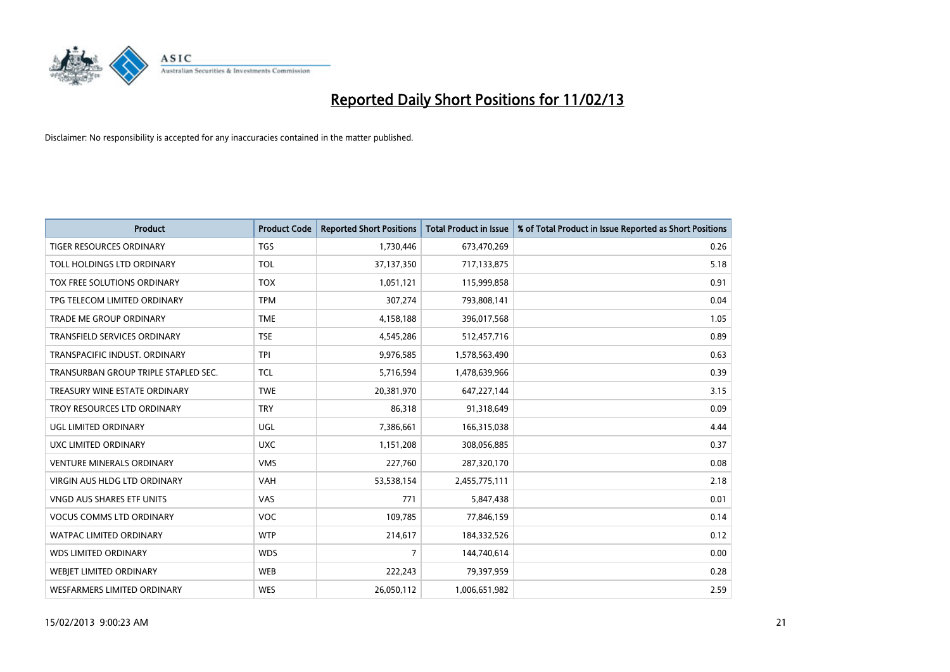

| <b>Product</b>                       | <b>Product Code</b> | <b>Reported Short Positions</b> | <b>Total Product in Issue</b> | % of Total Product in Issue Reported as Short Positions |
|--------------------------------------|---------------------|---------------------------------|-------------------------------|---------------------------------------------------------|
| <b>TIGER RESOURCES ORDINARY</b>      | <b>TGS</b>          | 1,730,446                       | 673,470,269                   | 0.26                                                    |
| TOLL HOLDINGS LTD ORDINARY           | <b>TOL</b>          | 37,137,350                      | 717,133,875                   | 5.18                                                    |
| TOX FREE SOLUTIONS ORDINARY          | <b>TOX</b>          | 1,051,121                       | 115,999,858                   | 0.91                                                    |
| TPG TELECOM LIMITED ORDINARY         | <b>TPM</b>          | 307,274                         | 793,808,141                   | 0.04                                                    |
| <b>TRADE ME GROUP ORDINARY</b>       | <b>TME</b>          | 4,158,188                       | 396,017,568                   | 1.05                                                    |
| <b>TRANSFIELD SERVICES ORDINARY</b>  | <b>TSE</b>          | 4,545,286                       | 512,457,716                   | 0.89                                                    |
| TRANSPACIFIC INDUST. ORDINARY        | <b>TPI</b>          | 9,976,585                       | 1,578,563,490                 | 0.63                                                    |
| TRANSURBAN GROUP TRIPLE STAPLED SEC. | <b>TCL</b>          | 5,716,594                       | 1,478,639,966                 | 0.39                                                    |
| TREASURY WINE ESTATE ORDINARY        | <b>TWE</b>          | 20,381,970                      | 647,227,144                   | 3.15                                                    |
| TROY RESOURCES LTD ORDINARY          | <b>TRY</b>          | 86,318                          | 91,318,649                    | 0.09                                                    |
| UGL LIMITED ORDINARY                 | UGL                 | 7,386,661                       | 166,315,038                   | 4.44                                                    |
| UXC LIMITED ORDINARY                 | <b>UXC</b>          | 1,151,208                       | 308,056,885                   | 0.37                                                    |
| <b>VENTURE MINERALS ORDINARY</b>     | <b>VMS</b>          | 227,760                         | 287,320,170                   | 0.08                                                    |
| <b>VIRGIN AUS HLDG LTD ORDINARY</b>  | VAH                 | 53,538,154                      | 2,455,775,111                 | 2.18                                                    |
| <b>VNGD AUS SHARES ETF UNITS</b>     | <b>VAS</b>          | 771                             | 5,847,438                     | 0.01                                                    |
| <b>VOCUS COMMS LTD ORDINARY</b>      | VOC                 | 109,785                         | 77,846,159                    | 0.14                                                    |
| WATPAC LIMITED ORDINARY              | <b>WTP</b>          | 214,617                         | 184,332,526                   | 0.12                                                    |
| <b>WDS LIMITED ORDINARY</b>          | <b>WDS</b>          | $\overline{7}$                  | 144,740,614                   | 0.00                                                    |
| WEBJET LIMITED ORDINARY              | <b>WEB</b>          | 222,243                         | 79,397,959                    | 0.28                                                    |
| WESFARMERS LIMITED ORDINARY          | <b>WES</b>          | 26,050,112                      | 1,006,651,982                 | 2.59                                                    |